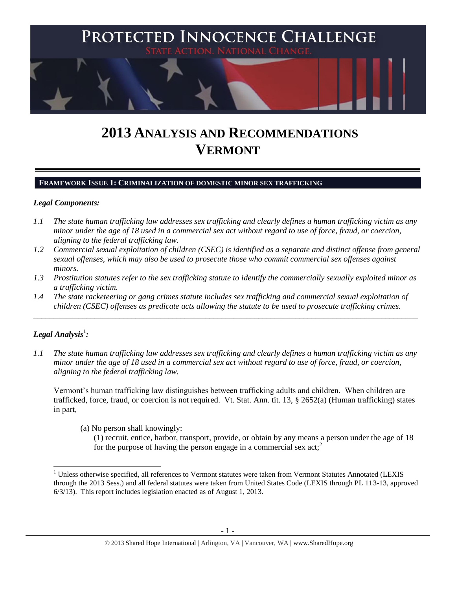

# **2013 ANALYSIS AND RECOMMENDATIONS VERMONT**

**FRAMEWORK ISSUE 1: CRIMINALIZATION OF DOMESTIC MINOR SEX TRAFFICKING**

### *Legal Components:*

- *1.1 The state human trafficking law addresses sex trafficking and clearly defines a human trafficking victim as any minor under the age of 18 used in a commercial sex act without regard to use of force, fraud, or coercion, aligning to the federal trafficking law.*
- *1.2 Commercial sexual exploitation of children (CSEC) is identified as a separate and distinct offense from general sexual offenses, which may also be used to prosecute those who commit commercial sex offenses against minors.*
- *1.3 Prostitution statutes refer to the sex trafficking statute to identify the commercially sexually exploited minor as a trafficking victim.*
- *1.4 The state racketeering or gang crimes statute includes sex trafficking and commercial sexual exploitation of children (CSEC) offenses as predicate acts allowing the statute to be used to prosecute trafficking crimes.*

\_\_\_\_\_\_\_\_\_\_\_\_\_\_\_\_\_\_\_\_\_\_\_\_\_\_\_\_\_\_\_\_\_\_\_\_\_\_\_\_\_\_\_\_\_\_\_\_\_\_\_\_\_\_\_\_\_\_\_\_\_\_\_\_\_\_\_\_\_\_\_\_\_\_\_\_\_\_\_\_\_\_\_\_\_\_\_\_\_\_\_\_\_\_

# $\bm{L}$ egal Analysis $^1$ :

 $\overline{\phantom{a}}$ 

*1.1 The state human trafficking law addresses sex trafficking and clearly defines a human trafficking victim as any minor under the age of 18 used in a commercial sex act without regard to use of force, fraud, or coercion, aligning to the federal trafficking law.* 

Vermont's human trafficking law distinguishes between trafficking adults and children. When children are trafficked, force, fraud, or coercion is not required. Vt. Stat. Ann. tit. 13, § 2652(a) (Human trafficking) states in part,

(a) No person shall knowingly:

<span id="page-0-0"></span>(1) recruit, entice, harbor, transport, provide, or obtain by any means a person under the age of 18 for the purpose of having the person engage in a commercial sex  $act<sub>i</sub><sup>2</sup>$ 

<sup>&</sup>lt;sup>1</sup> Unless otherwise specified, all references to Vermont statutes were taken from Vermont Statutes Annotated (LEXIS through the 2013 Sess.) and all federal statutes were taken from United States Code (LEXIS through PL 113-13, approved 6/3/13). This report includes legislation enacted as of August 1, 2013.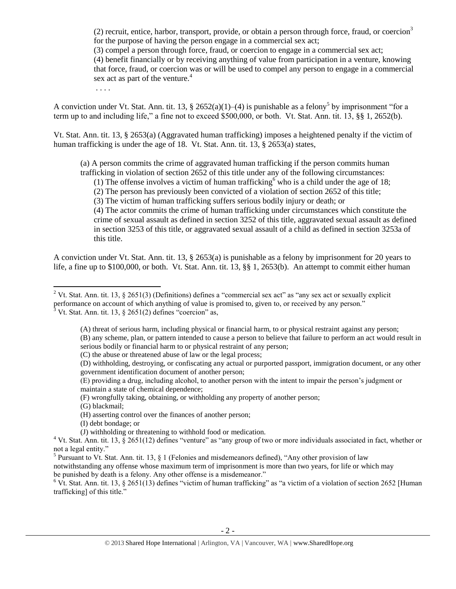(2) recruit, entice, harbor, transport, provide, or obtain a person through force, fraud, or coercion<sup>3</sup> for the purpose of having the person engage in a commercial sex act;

(3) compel a person through force, fraud, or coercion to engage in a commercial sex act;

(4) benefit financially or by receiving anything of value from participation in a venture, knowing that force, fraud, or coercion was or will be used to compel any person to engage in a commercial sex act as part of the venture.<sup>4</sup>

. . . .

A conviction under Vt. Stat. Ann. tit. 13, § 2652(a)(1)–(4) is punishable as a felony<sup>5</sup> by imprisonment "for a term up to and including life," a fine not to exceed \$500,000, or both. Vt. Stat. Ann. tit. 13, §§ 1, 2652(b).

Vt. Stat. Ann. tit. 13, § 2653(a) (Aggravated human trafficking) imposes a heightened penalty if the victim of human trafficking is under the age of 18. Vt. Stat. Ann. tit. 13, § 2653(a) states,

(a) A person commits the crime of aggravated human trafficking if the person commits human trafficking in violation of section 2652 of this title under any of the following circumstances:

<span id="page-1-0"></span>(1) The offense involves a victim of human trafficking who is a child under the age of 18;

(2) The person has previously been convicted of a violation of section 2652 of this title;

(3) The victim of human trafficking suffers serious bodily injury or death; or

(4) The actor commits the crime of human trafficking under circumstances which constitute the crime of sexual assault as defined in section 3252 of this title, aggravated sexual assault as defined in section 3253 of this title, or aggravated sexual assault of a child as defined in section 3253a of this title.

A conviction under Vt. Stat. Ann. tit. 13, § 2653(a) is punishable as a felony by imprisonment for 20 years to life, a fine up to \$100,000, or both. Vt. Stat. Ann. tit. 13, §§ 1, 2653(b). An attempt to commit either human

- (E) providing a drug, including alcohol, to another person with the intent to impair the person's judgment or maintain a state of chemical dependence;
- (F) wrongfully taking, obtaining, or withholding any property of another person;

(G) blackmail;

(H) asserting control over the finances of another person;

- (I) debt bondage; or
- (J) withholding or threatening to withhold food or medication.

notwithstanding any offense whose maximum term of imprisonment is more than two years, for life or which may be punished by death is a felony. Any other offense is a misdemeanor."

 $6$  Vt. Stat. Ann. tit. 13, § 2651(13) defines "victim of human trafficking" as "a victim of a violation of section 2652 [Human trafficking] of this title."

 $\overline{\phantom{a}}$ <sup>2</sup> Vt. Stat. Ann. tit. 13, § 2651(3) (Definitions) defines a "commercial sex act" as "any sex act or sexually explicit performance on account of which anything of value is promised to, given to, or received by any person."  $3$  Vt. Stat. Ann. tit. 13, § 2651(2) defines "coercion" as,

<sup>(</sup>A) threat of serious harm, including physical or financial harm, to or physical restraint against any person; (B) any scheme, plan, or pattern intended to cause a person to believe that failure to perform an act would result in serious bodily or financial harm to or physical restraint of any person;

<sup>(</sup>C) the abuse or threatened abuse of law or the legal process;

<sup>(</sup>D) withholding, destroying, or confiscating any actual or purported passport, immigration document, or any other government identification document of another person;

 $4$  Vt. Stat. Ann. tit. 13, § 2651(12) defines "venture" as "any group of two or more individuals associated in fact, whether or not a legal entity."

<sup>&</sup>lt;sup>5</sup> Pursuant to Vt. Stat. Ann. tit. 13, § 1 (Felonies and misdemeanors defined), "Any other provision of law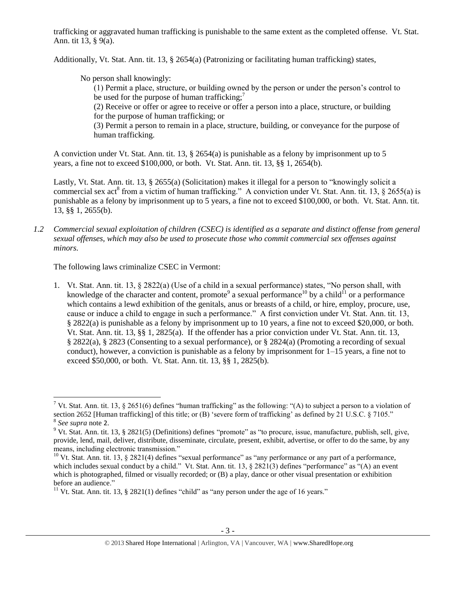trafficking or aggravated human trafficking is punishable to the same extent as the completed offense. Vt. Stat. Ann. tit 13, § 9(a).

Additionally, Vt. Stat. Ann. tit. 13, § 2654(a) (Patronizing or facilitating human trafficking) states,

No person shall knowingly:

(1) Permit a place, structure, or building owned by the person or under the person's control to be used for the purpose of human trafficking;<sup>7</sup>

(2) Receive or offer or agree to receive or offer a person into a place, structure, or building for the purpose of human trafficking; or

(3) Permit a person to remain in a place, structure, building, or conveyance for the purpose of human trafficking.

A conviction under Vt. Stat. Ann. tit. 13, § 2654(a) is punishable as a felony by imprisonment up to 5 years, a fine not to exceed \$100,000, or both. Vt. Stat. Ann. tit. 13, §§ 1, 2654(b).

Lastly, Vt. Stat. Ann. tit. 13, § 2655(a) (Solicitation) makes it illegal for a person to "knowingly solicit a commercial sex act<sup>8</sup> from a victim of human trafficking." A conviction under Vt. Stat. Ann. tit. 13, § 2655(a) is punishable as a felony by imprisonment up to 5 years, a fine not to exceed \$100,000, or both. Vt. Stat. Ann. tit. 13, §§ 1, 2655(b).

*1.2 Commercial sexual exploitation of children (CSEC) is identified as a separate and distinct offense from general sexual offenses, which may also be used to prosecute those who commit commercial sex offenses against minors.*

The following laws criminalize CSEC in Vermont:

<span id="page-2-1"></span><span id="page-2-0"></span>1. Vt. Stat. Ann. tit. 13, § 2822(a) (Use of a child in a sexual performance) states, "No person shall, with knowledge of the character and content, promote<sup>9</sup> a sexual performance<sup>10</sup> by a child<sup>11</sup> or a performance which contains a lewd exhibition of the genitals, anus or breasts of a child, or hire, employ, procure, use, cause or induce a child to engage in such a performance." A first conviction under Vt. Stat. Ann. tit. 13, § 2822(a) is punishable as a felony by imprisonment up to 10 years, a fine not to exceed \$20,000, or both. Vt. Stat. Ann. tit. 13, §§ 1, 2825(a). If the offender has a prior conviction under Vt. Stat. Ann. tit. 13, § 2822(a), § 2823 (Consenting to a sexual performance), or § 2824(a) (Promoting a recording of sexual conduct), however, a conviction is punishable as a felony by imprisonment for  $1-15$  years, a fine not to exceed \$50,000, or both. Vt. Stat. Ann. tit. 13, §§ 1, 2825(b).

l

<sup>&</sup>lt;sup>7</sup> Vt. Stat. Ann. tit. 13, § 2651(6) defines "human trafficking" as the following: "(A) to subject a person to a violation of section 2652 [Human trafficking] of this title; or (B) 'severe form of trafficking' as defined by 21 U.S.C. § 7105."

<sup>8</sup> *See supra* note [2](#page-0-0).

<sup>&</sup>lt;sup>9</sup> Vt. Stat. Ann. tit. 13, § 2821(5) (Definitions) defines "promote" as "to procure, issue, manufacture, publish, sell, give, provide, lend, mail, deliver, distribute, disseminate, circulate, present, exhibit, advertise, or offer to do the same, by any means, including electronic transmission."

<sup>&</sup>lt;sup>10</sup> Vt. Stat. Ann. tit. 13, § 2821(4) defines "sexual performance" as "any performance or any part of a performance, which includes sexual conduct by a child." Vt. Stat. Ann. tit. 13, § 2821(3) defines "performance" as "(A) an event which is photographed, filmed or visually recorded; or (B) a play, dance or other visual presentation or exhibition before an audience."

<sup>&</sup>lt;sup>11</sup> Vt. Stat. Ann. tit. 13, § 2821(1) defines "child" as "any person under the age of 16 years."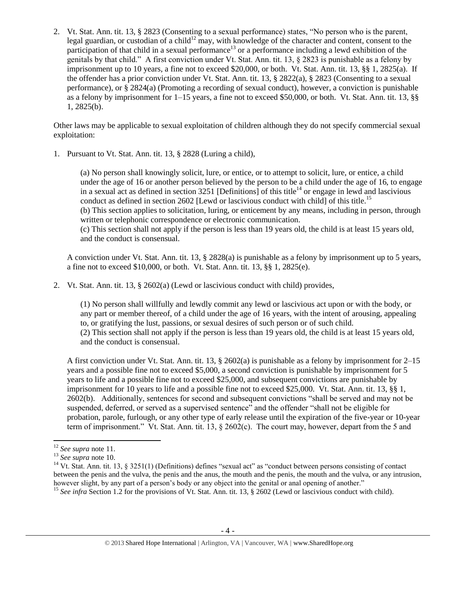2. Vt. Stat. Ann. tit. 13, § 2823 (Consenting to a sexual performance) states, "No person who is the parent, legal guardian, or custodian of a child<sup>12</sup> may, with knowledge of the character and content, consent to the participation of that child in a sexual performance<sup>13</sup> or a performance including a lewd exhibition of the genitals by that child." A first conviction under Vt. Stat. Ann. tit. 13, § 2823 is punishable as a felony by imprisonment up to 10 years, a fine not to exceed \$20,000, or both. Vt. Stat. Ann. tit. 13, §§ 1, 2825(a). If the offender has a prior conviction under Vt. Stat. Ann. tit. 13, § 2822(a), § 2823 (Consenting to a sexual performance), or § 2824(a) (Promoting a recording of sexual conduct), however, a conviction is punishable as a felony by imprisonment for 1–15 years, a fine not to exceed \$50,000, or both. Vt. Stat. Ann. tit. 13, §§ 1, 2825(b).

Other laws may be applicable to sexual exploitation of children although they do not specify commercial sexual exploitation:

1. Pursuant to Vt. Stat. Ann. tit. 13, § 2828 (Luring a child),

<span id="page-3-0"></span>(a) No person shall knowingly solicit, lure, or entice, or to attempt to solicit, lure, or entice, a child under the age of 16 or another person believed by the person to be a child under the age of 16, to engage in a sexual act as defined in section  $3251$  [Definitions] of this title<sup>14</sup> or engage in lewd and lascivious conduct as defined in section 2602 [Lewd or lascivious conduct with child] of this title.<sup>15</sup> (b) This section applies to solicitation, luring, or enticement by any means, including in person, through written or telephonic correspondence or electronic communication. (c) This section shall not apply if the person is less than 19 years old, the child is at least 15 years old, and the conduct is consensual.

A conviction under Vt. Stat. Ann. tit. 13, § 2828(a) is punishable as a felony by imprisonment up to 5 years, a fine not to exceed \$10,000, or both. Vt. Stat. Ann. tit. 13, §§ 1, 2825(e).

2. Vt. Stat. Ann. tit. 13, § 2602(a) (Lewd or lascivious conduct with child) provides,

(1) No person shall willfully and lewdly commit any lewd or lascivious act upon or with the body, or any part or member thereof, of a child under the age of 16 years, with the intent of arousing, appealing to, or gratifying the lust, passions, or sexual desires of such person or of such child. (2) This section shall not apply if the person is less than 19 years old, the child is at least 15 years old, and the conduct is consensual.

A first conviction under Vt. Stat. Ann. tit. 13, § 2602(a) is punishable as a felony by imprisonment for 2–15 years and a possible fine not to exceed \$5,000, a second conviction is punishable by imprisonment for 5 years to life and a possible fine not to exceed \$25,000, and subsequent convictions are punishable by imprisonment for 10 years to life and a possible fine not to exceed \$25,000. Vt. Stat. Ann. tit. 13, §§ 1, 2602(b). Additionally, sentences for second and subsequent convictions "shall be served and may not be suspended, deferred, or served as a supervised sentence" and the offender "shall not be eligible for probation, parole, furlough, or any other type of early release until the expiration of the five-year or 10-year term of imprisonment." Vt. Stat. Ann. tit. 13, § 2602(c). The court may, however, depart from the 5 and

<sup>12</sup> *See supra* note 11.

<sup>13</sup> *See supra* note [10.](#page-2-0) 

<sup>&</sup>lt;sup>14</sup> Vt. Stat. Ann. tit. 13, § 3251(1) (Definitions) defines "sexual act" as "conduct between persons consisting of contact between the penis and the vulva, the penis and the anus, the mouth and the penis, the mouth and the vulva, or any intrusion, however slight, by any part of a person's body or any object into the genital or anal opening of another."

<sup>&</sup>lt;sup>15</sup> See infra Section 1.2 for the provisions of Vt. Stat. Ann. tit. 13, § 2602 (Lewd or lascivious conduct with child).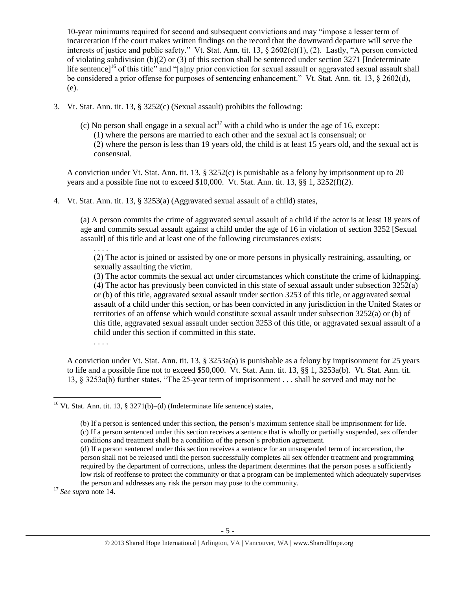10-year minimums required for second and subsequent convictions and may "impose a lesser term of incarceration if the court makes written findings on the record that the downward departure will serve the interests of justice and public safety." Vt. Stat. Ann. tit. 13, § 2602(c)(1), (2). Lastly, "A person convicted of violating subdivision (b)(2) or (3) of this section shall be sentenced under section 3271 [Indeterminate life sentence]<sup>16</sup> of this title" and "[a]ny prior conviction for sexual assault or aggravated sexual assault shall be considered a prior offense for purposes of sentencing enhancement." Vt. Stat. Ann. tit. 13, § 2602(d), (e).

- 3. Vt. Stat. Ann. tit. 13, § 3252(c) (Sexual assault) prohibits the following:
	- (c) No person shall engage in a sexual act<sup>17</sup> with a child who is under the age of 16, except: (1) where the persons are married to each other and the sexual act is consensual; or (2) where the person is less than 19 years old, the child is at least 15 years old, and the sexual act is consensual.

A conviction under Vt. Stat. Ann. tit. 13, § 3252(c) is punishable as a felony by imprisonment up to 20 years and a possible fine not to exceed  $$10,000$ . Vt. Stat. Ann. tit. 13,  $§$ § 1, 3252(f)(2).

4. Vt. Stat. Ann. tit. 13, § 3253(a) (Aggravated sexual assault of a child) states,

(a) A person commits the crime of aggravated sexual assault of a child if the actor is at least 18 years of age and commits sexual assault against a child under the age of 16 in violation of section 3252 [Sexual assault] of this title and at least one of the following circumstances exists:

(2) The actor is joined or assisted by one or more persons in physically restraining, assaulting, or sexually assaulting the victim.

(3) The actor commits the sexual act under circumstances which constitute the crime of kidnapping. (4) The actor has previously been convicted in this state of sexual assault under subsection 3252(a) or (b) of this title, aggravated sexual assault under section 3253 of this title, or aggravated sexual assault of a child under this section, or has been convicted in any jurisdiction in the United States or territories of an offense which would constitute sexual assault under subsection 3252(a) or (b) of this title, aggravated sexual assault under section 3253 of this title, or aggravated sexual assault of a child under this section if committed in this state.

. . . .

. . . .

A conviction under Vt. Stat. Ann. tit. 13, § 3253a(a) is punishable as a felony by imprisonment for 25 years to life and a possible fine not to exceed \$50,000. Vt. Stat. Ann. tit. 13, §§ 1, 3253a(b). Vt. Stat. Ann. tit. 13, § 3253a(b) further states, "The 25-year term of imprisonment . . . shall be served and may not be

<sup>17</sup> *See supra* note [14.](#page-3-0) 

 $\overline{a}$ 

<sup>&</sup>lt;sup>16</sup> Vt. Stat. Ann. tit. 13, § 3271(b)–(d) (Indeterminate life sentence) states,

<sup>(</sup>b) If a person is sentenced under this section, the person's maximum sentence shall be imprisonment for life. (c) If a person sentenced under this section receives a sentence that is wholly or partially suspended, sex offender conditions and treatment shall be a condition of the person's probation agreement.

<sup>(</sup>d) If a person sentenced under this section receives a sentence for an unsuspended term of incarceration, the person shall not be released until the person successfully completes all sex offender treatment and programming required by the department of corrections, unless the department determines that the person poses a sufficiently low risk of reoffense to protect the community or that a program can be implemented which adequately supervises the person and addresses any risk the person may pose to the community.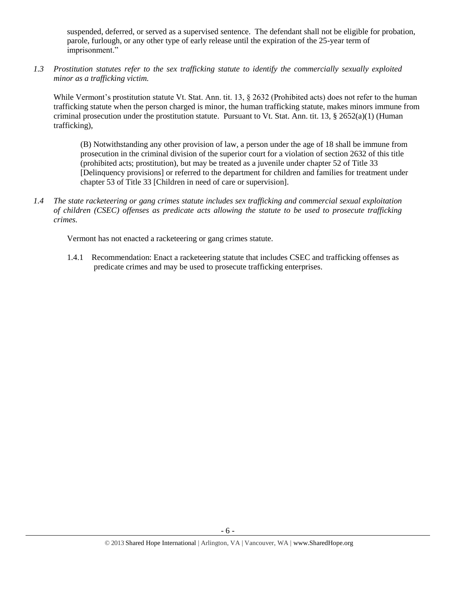suspended, deferred, or served as a supervised sentence. The defendant shall not be eligible for probation, parole, furlough, or any other type of early release until the expiration of the 25-year term of imprisonment."

*1.3 Prostitution statutes refer to the sex trafficking statute to identify the commercially sexually exploited minor as a trafficking victim.* 

While Vermont's prostitution statute Vt. Stat. Ann. tit. 13, § 2632 (Prohibited acts) does not refer to the human trafficking statute when the person charged is minor, the human trafficking statute, makes minors immune from criminal prosecution under the prostitution statute. Pursuant to Vt. Stat. Ann. tit. 13,  $\S 2652(a)(1)$  (Human trafficking),

(B) Notwithstanding any other provision of law, a person under the age of 18 shall be immune from prosecution in the criminal division of the superior court for a violation of section 2632 of this title (prohibited acts; prostitution), but may be treated as a juvenile under chapter 52 of Title 33 [Delinquency provisions] or referred to the department for children and families for treatment under chapter 53 of Title 33 [Children in need of care or supervision].

*1.4 The state racketeering or gang crimes statute includes sex trafficking and commercial sexual exploitation of children (CSEC) offenses as predicate acts allowing the statute to be used to prosecute trafficking crimes.* 

Vermont has not enacted a racketeering or gang crimes statute.

1.4.1 Recommendation: Enact a racketeering statute that includes CSEC and trafficking offenses as predicate crimes and may be used to prosecute trafficking enterprises.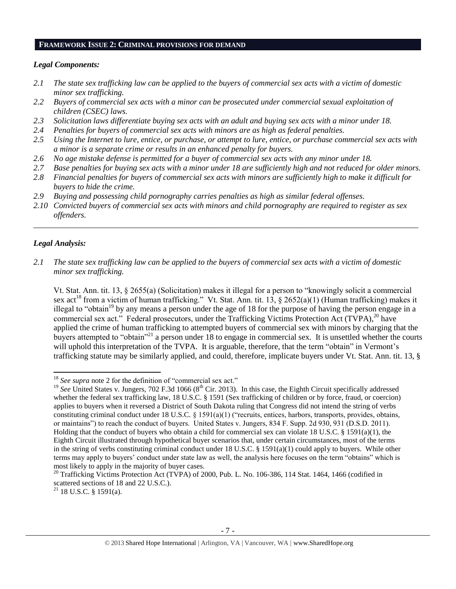#### **FRAMEWORK ISSUE 2: CRIMINAL PROVISIONS FOR DEMAND**

#### *Legal Components:*

- *2.1 The state sex trafficking law can be applied to the buyers of commercial sex acts with a victim of domestic minor sex trafficking.*
- *2.2 Buyers of commercial sex acts with a minor can be prosecuted under commercial sexual exploitation of children (CSEC) laws.*
- *2.3 Solicitation laws differentiate buying sex acts with an adult and buying sex acts with a minor under 18.*
- *2.4 Penalties for buyers of commercial sex acts with minors are as high as federal penalties.*
- *2.5 Using the Internet to lure, entice, or purchase, or attempt to lure, entice, or purchase commercial sex acts with a minor is a separate crime or results in an enhanced penalty for buyers.*
- *2.6 No age mistake defense is permitted for a buyer of commercial sex acts with any minor under 18.*
- *2.7 Base penalties for buying sex acts with a minor under 18 are sufficiently high and not reduced for older minors.*
- *2.8 Financial penalties for buyers of commercial sex acts with minors are sufficiently high to make it difficult for buyers to hide the crime.*
- *2.9 Buying and possessing child pornography carries penalties as high as similar federal offenses.*
- *2.10 Convicted buyers of commercial sex acts with minors and child pornography are required to register as sex offenders.*

\_\_\_\_\_\_\_\_\_\_\_\_\_\_\_\_\_\_\_\_\_\_\_\_\_\_\_\_\_\_\_\_\_\_\_\_\_\_\_\_\_\_\_\_\_\_\_\_\_\_\_\_\_\_\_\_\_\_\_\_\_\_\_\_\_\_\_\_\_\_\_\_\_\_\_\_\_\_\_\_\_\_\_\_\_\_\_\_\_\_\_\_\_\_

### *Legal Analysis:*

l

*2.1 The state sex trafficking law can be applied to the buyers of commercial sex acts with a victim of domestic minor sex trafficking.*

<span id="page-6-0"></span>Vt. Stat. Ann. tit. 13, § 2655(a) (Solicitation) makes it illegal for a person to "knowingly solicit a commercial sex act<sup>18</sup> from a victim of human trafficking." Vt. Stat. Ann. tit. 13, § 2652(a)(1) (Human trafficking) makes it illegal to "obtain<sup>19</sup> by any means a person under the age of 18 for the purpose of having the person engage in a commercial sex act." Federal prosecutors, under the Trafficking Victims Protection Act (TVPA),<sup>20</sup> have applied the crime of human trafficking to attempted buyers of commercial sex with minors by charging that the buyers attempted to "obtain"<sup>21</sup> a person under 18 to engage in commercial sex. It is unsettled whether the courts will uphold this interpretation of the TVPA. It is arguable, therefore, that the term "obtain" in Vermont's trafficking statute may be similarly applied, and could, therefore, implicate buyers under Vt. Stat. Ann. tit. 13, §

<sup>&</sup>lt;sup>18</sup> See supra note [2](#page-0-0) for the definition of "commercial sex act."

<sup>&</sup>lt;sup>19</sup> See United States v. Jungers, 702 F.3d 1066 (8<sup>th</sup> Cir. 2013). In this case, the Eighth Circuit specifically addressed whether the federal sex trafficking law, 18 U.S.C. § 1591 (Sex trafficking of children or by force, fraud, or coercion) applies to buyers when it reversed a District of South Dakota ruling that Congress did not intend the string of verbs constituting criminal conduct under 18 U.S.C. § 1591(a)(1) ("recruits, entices, harbors, transports, provides, obtains, or maintains") to reach the conduct of buyers. United States v. Jungers, 834 F. Supp. 2d 930, 931 (D.S.D. 2011). Holding that the conduct of buyers who obtain a child for commercial sex can violate 18 U.S.C. § 1591(a)(1), the Eighth Circuit illustrated through hypothetical buyer scenarios that, under certain circumstances, most of the terms in the string of verbs constituting criminal conduct under 18 U.S.C. § 1591(a)(1) could apply to buyers. While other terms may apply to buyers' conduct under state law as well, the analysis here focuses on the term "obtains" which is most likely to apply in the majority of buyer cases.

 $^{20}$  Trafficking Victims Protection Act (TVPA) of 2000, Pub. L. No. 106-386, 114 Stat. 1464, 1466 (codified in scattered sections of 18 and 22 U.S.C.).

 $21$  18 U.S.C. § 1591(a).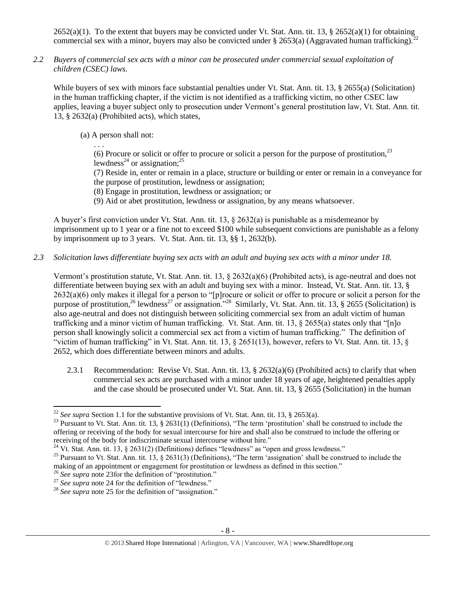2652(a)(1). To the extent that buyers may be convicted under Vt. Stat. Ann. tit. 13, § 2652(a)(1) for obtaining commercial sex with a minor, buyers may also be convicted under § 2653(a) (Aggravated human trafficking).

*2.2 Buyers of commercial sex acts with a minor can be prosecuted under commercial sexual exploitation of children (CSEC) laws.*

While buyers of sex with minors face substantial penalties under Vt. Stat. Ann. tit. 13, § 2655(a) (Solicitation) in the human trafficking chapter, if the victim is not identified as a trafficking victim, no other CSEC law applies, leaving a buyer subject only to prosecution under Vermont's general prostitution law, Vt. Stat. Ann. tit. 13, § 2632(a) (Prohibited acts), which states,

(a) A person shall not:

<span id="page-7-0"></span>. . .

(6) Procure or solicit or offer to procure or solicit a person for the purpose of prostitution,  $2<sup>3</sup>$ lewdness<sup>24</sup> or assignation;<sup>25</sup>

<span id="page-7-2"></span><span id="page-7-1"></span>(7) Reside in, enter or remain in a place, structure or building or enter or remain in a conveyance for the purpose of prostitution, lewdness or assignation;

- (8) Engage in prostitution, lewdness or assignation; or
- (9) Aid or abet prostitution, lewdness or assignation, by any means whatsoever.

A buyer's first conviction under Vt. Stat. Ann. tit. 13,  $\S$  2632(a) is punishable as a misdemeanor by imprisonment up to 1 year or a fine not to exceed \$100 while subsequent convictions are punishable as a felony by imprisonment up to 3 years. Vt. Stat. Ann. tit. 13, §§ 1, 2632(b).

*2.3 Solicitation laws differentiate buying sex acts with an adult and buying sex acts with a minor under 18.*

Vermont's prostitution statute, Vt. Stat. Ann. tit. 13, § 2632(a)(6) (Prohibited acts), is age-neutral and does not differentiate between buying sex with an adult and buying sex with a minor. Instead, Vt. Stat. Ann. tit. 13, § 2632(a)(6) only makes it illegal for a person to "[p]rocure or solicit or offer to procure or solicit a person for the purpose of prostitution,<sup>26</sup> lewdness<sup>27</sup> or assignation."<sup>28</sup> Similarly, Vt. Stat. Ann. tit. 13, § 2655 (Solicitation) is also age-neutral and does not distinguish between soliciting commercial sex from an adult victim of human trafficking and a minor victim of human trafficking. Vt. Stat. Ann. tit. 13, § 2655(a) states only that "[n]o person shall knowingly solicit a commercial sex act from a victim of human trafficking." The definition of "victim of human trafficking" in Vt. Stat. Ann. tit. 13, § 2651(13), however, refers to Vt. Stat. Ann. tit. 13, § 2652, which does differentiate between minors and adults.

2.3.1 Recommendation: Revise Vt. Stat. Ann. tit. 13, § 2632(a)(6) (Prohibited acts) to clarify that when commercial sex acts are purchased with a minor under 18 years of age, heightened penalties apply and the case should be prosecuted under Vt. Stat. Ann. tit. 13, § 2655 (Solicitation) in the human

<sup>&</sup>lt;sup>22</sup> *See supra* Section 1.1 for the substantive provisions of Vt. Stat. Ann. tit. 13, § 2653(a).

<sup>&</sup>lt;sup>23</sup> Pursuant to Vt. Stat. Ann. tit. 13, § 2631(1) (Definitions), "The term 'prostitution' shall be construed to include the offering or receiving of the body for sexual intercourse for hire and shall also be construed to include the offering or receiving of the body for indiscriminate sexual intercourse without hire."

<sup>&</sup>lt;sup>24</sup> Vt. Stat. Ann. tit. 13, § 2631(2) (Definitions) defines "lewdness" as "open and gross lewdness."

<sup>&</sup>lt;sup>25</sup> Pursuant to Vt. Stat. Ann. tit. 13,  $\S$  2631(3) (Definitions), "The term 'assignation' shall be construed to include the making of an appointment or engagement for prostitution or lewdness as defined in this section."

<sup>&</sup>lt;sup>26</sup> See supra note [23f](#page-7-0)or the definition of "prostitution."

<sup>&</sup>lt;sup>27</sup> See supra note [24](#page-7-1) for the definition of "lewdness."

<sup>&</sup>lt;sup>28</sup> *See supra* note [25](#page-7-2) for the definition of "assignation."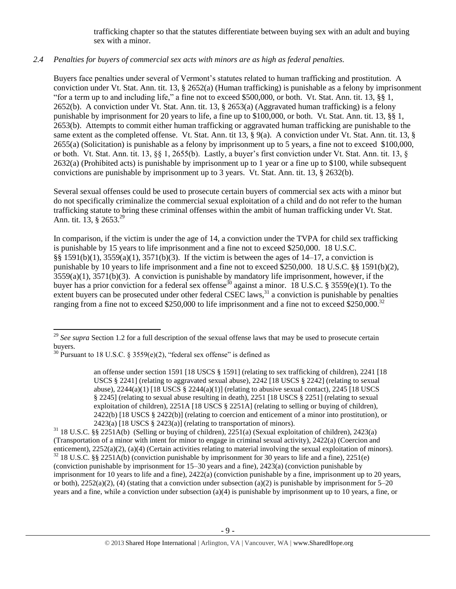trafficking chapter so that the statutes differentiate between buying sex with an adult and buying sex with a minor.

# *2.4 Penalties for buyers of commercial sex acts with minors are as high as federal penalties.*

Buyers face penalties under several of Vermont's statutes related to human trafficking and prostitution. A conviction under Vt. Stat. Ann. tit. 13, § 2652(a) (Human trafficking) is punishable as a felony by imprisonment "for a term up to and including life," a fine not to exceed \$500,000, or both. Vt. Stat. Ann. tit. 13, §§ 1, 2652(b). A conviction under Vt. Stat. Ann. tit. 13, § 2653(a) (Aggravated human trafficking) is a felony punishable by imprisonment for 20 years to life, a fine up to \$100,000, or both. Vt. Stat. Ann. tit. 13, §§ 1, 2653(b). Attempts to commit either human trafficking or aggravated human trafficking are punishable to the same extent as the completed offense. Vt. Stat. Ann. tit 13, § 9(a). A conviction under Vt. Stat. Ann. tit. 13, § 2655(a) (Solicitation) is punishable as a felony by imprisonment up to 5 years, a fine not to exceed \$100,000, or both. Vt. Stat. Ann. tit. 13, §§ 1, 2655(b). Lastly, a buyer's first conviction under Vt. Stat. Ann. tit. 13, § 2632(a) (Prohibited acts) is punishable by imprisonment up to 1 year or a fine up to \$100, while subsequent convictions are punishable by imprisonment up to 3 years. Vt. Stat. Ann. tit. 13, § 2632(b).

Several sexual offenses could be used to prosecute certain buyers of commercial sex acts with a minor but do not specifically criminalize the commercial sexual exploitation of a child and do not refer to the human trafficking statute to bring these criminal offenses within the ambit of human trafficking under Vt. Stat. Ann. tit. 13, § 2653.<sup>29</sup>

In comparison, if the victim is under the age of 14, a conviction under the TVPA for child sex trafficking is punishable by 15 years to life imprisonment and a fine not to exceed \$250,000. 18 U.S.C. §§ 1591(b)(1), 3559(a)(1), 3571(b)(3). If the victim is between the ages of 14–17, a conviction is punishable by 10 years to life imprisonment and a fine not to exceed \$250,000. 18 U.S.C. §§ 1591(b)(2),  $3559(a)(1)$ ,  $3571(b)(3)$ . A conviction is punishable by mandatory life imprisonment, however, if the buyer has a prior conviction for a federal sex offense<sup>30</sup> against a minor. 18 U.S.C. § 3559(e)(1). To the extent buyers can be prosecuted under other federal CSEC laws, $31$  a conviction is punishable by penalties ranging from a fine not to exceed \$250,000 to life imprisonment and a fine not to exceed \$250,000.<sup>32</sup>

 $\overline{a}$ <sup>29</sup> See supra Section 1.2 for a full description of the sexual offense laws that may be used to prosecute certain buyers.

<sup>&</sup>lt;sup>30</sup> Pursuant to 18 U.S.C. § 3559(e)(2), "federal sex offense" is defined as

<span id="page-8-0"></span>an offense under section 1591 [18 USCS § 1591] (relating to sex trafficking of children), 2241 [18 USCS § 2241] (relating to aggravated sexual abuse), 2242 [18 USCS § 2242] (relating to sexual abuse),  $2244(a)(1)$  [18 USCS §  $2244(a)(1)$ ] (relating to abusive sexual contact),  $2245$  [18 USCS § 2245] (relating to sexual abuse resulting in death), 2251 [18 USCS § 2251] (relating to sexual exploitation of children), 2251A [18 USCS § 2251A] (relating to selling or buying of children), 2422(b) [18 USCS § 2422(b)] (relating to coercion and enticement of a minor into prostitution), or  $2423(a)$  [18 USCS § 2423(a)] (relating to transportation of minors).

 $31$  18 U.S.C. §§ 2251A(b) (Selling or buying of children), 2251(a) (Sexual exploitation of children), 2423(a) (Transportation of a minor with intent for minor to engage in criminal sexual activity), 2422(a) (Coercion and enticement), 2252(a)(2), (a)(4) (Certain activities relating to material involving the sexual exploitation of minors).  $32$  18 U.S.C. §§ 2251A(b) (conviction punishable by imprisonment for 30 years to life and a fine), 2251(e) (conviction punishable by imprisonment for 15–30 years and a fine), 2423(a) (conviction punishable by imprisonment for 10 years to life and a fine), 2422(a) (conviction punishable by a fine, imprisonment up to 20 years, or both),  $2252(a)(2)$ , (4) (stating that a conviction under subsection (a)(2) is punishable by imprisonment for 5–20 years and a fine, while a conviction under subsection (a)(4) is punishable by imprisonment up to 10 years, a fine, or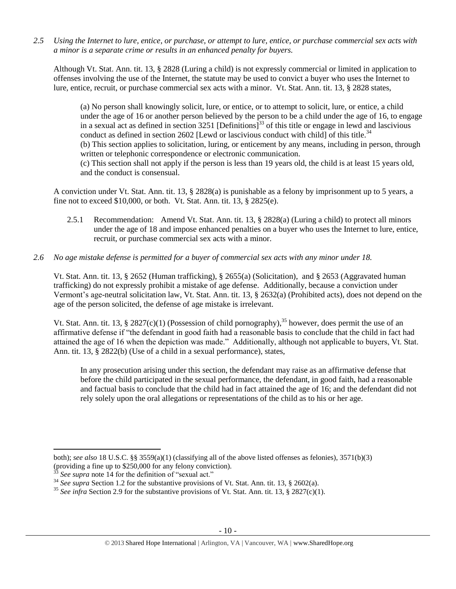*2.5 Using the Internet to lure, entice, or purchase, or attempt to lure, entice, or purchase commercial sex acts with a minor is a separate crime or results in an enhanced penalty for buyers.*

Although Vt. Stat. Ann. tit. 13, § 2828 (Luring a child) is not expressly commercial or limited in application to offenses involving the use of the Internet, the statute may be used to convict a buyer who uses the Internet to lure, entice, recruit, or purchase commercial sex acts with a minor. Vt. Stat. Ann. tit. 13, § 2828 states,

(a) No person shall knowingly solicit, lure, or entice, or to attempt to solicit, lure, or entice, a child under the age of 16 or another person believed by the person to be a child under the age of 16, to engage in a sexual act as defined in section 3251 [Definitions]<sup>33</sup> of this title or engage in lewd and lascivious conduct as defined in section 2602 [Lewd or lascivious conduct with child] of this title. $34$ (b) This section applies to solicitation, luring, or enticement by any means, including in person, through written or telephonic correspondence or electronic communication. (c) This section shall not apply if the person is less than 19 years old, the child is at least 15 years old, and the conduct is consensual.

A conviction under Vt. Stat. Ann. tit. 13, § 2828(a) is punishable as a felony by imprisonment up to 5 years, a fine not to exceed \$10,000, or both. Vt. Stat. Ann. tit. 13, § 2825(e).

2.5.1 Recommendation: Amend Vt. Stat. Ann. tit. 13, § 2828(a) (Luring a child) to protect all minors under the age of 18 and impose enhanced penalties on a buyer who uses the Internet to lure, entice, recruit, or purchase commercial sex acts with a minor.

### *2.6 No age mistake defense is permitted for a buyer of commercial sex acts with any minor under 18.*

Vt. Stat. Ann. tit. 13, § 2652 (Human trafficking), § 2655(a) (Solicitation), and § 2653 (Aggravated human trafficking) do not expressly prohibit a mistake of age defense. Additionally, because a conviction under Vermont's age-neutral solicitation law, Vt. Stat. Ann. tit. 13, § 2632(a) (Prohibited acts), does not depend on the age of the person solicited, the defense of age mistake is irrelevant.

Vt. Stat. Ann. tit. 13, § 2827(c)(1) (Possession of child pornography),<sup>35</sup> however, does permit the use of an affirmative defense if "the defendant in good faith had a reasonable basis to conclude that the child in fact had attained the age of 16 when the depiction was made." Additionally, although not applicable to buyers, Vt. Stat. Ann. tit. 13, § 2822(b) (Use of a child in a sexual performance), states,

In any prosecution arising under this section, the defendant may raise as an affirmative defense that before the child participated in the sexual performance, the defendant, in good faith, had a reasonable and factual basis to conclude that the child had in fact attained the age of 16; and the defendant did not rely solely upon the oral allegations or representations of the child as to his or her age.

l

both); *see also* 18 U.S.C. §§ 3559(a)(1) (classifying all of the above listed offenses as felonies), 3571(b)(3) (providing a fine up to \$250,000 for any felony conviction).

See supra note [14](#page-3-0) for the definition of "sexual act."

<sup>&</sup>lt;sup>34</sup> *See supra* Section 1.2 for the substantive provisions of Vt. Stat. Ann. tit. 13, § 2602(a).

<sup>&</sup>lt;sup>35</sup> See infra Section 2.9 for the substantive provisions of Vt. Stat. Ann. tit. 13, § 2827(c)(1).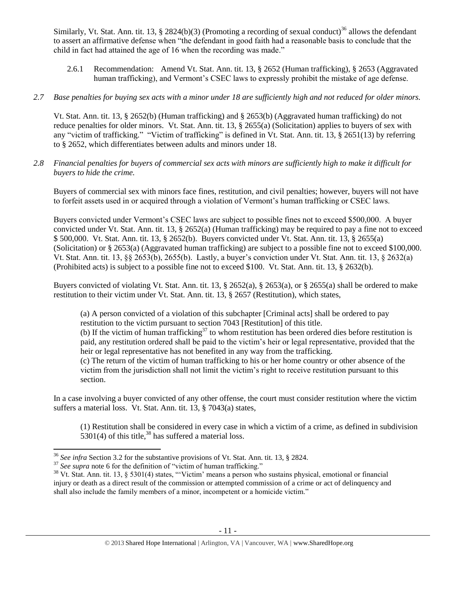Similarly, Vt. Stat. Ann. tit. 13, § 2824(b)(3) (Promoting a recording of sexual conduct)<sup>36</sup> allows the defendant to assert an affirmative defense when "the defendant in good faith had a reasonable basis to conclude that the child in fact had attained the age of 16 when the recording was made."

- 2.6.1 Recommendation: Amend Vt. Stat. Ann. tit. 13, § 2652 (Human trafficking), § 2653 (Aggravated human trafficking), and Vermont's CSEC laws to expressly prohibit the mistake of age defense.
- *2.7 Base penalties for buying sex acts with a minor under 18 are sufficiently high and not reduced for older minors.*

Vt. Stat. Ann. tit. 13, § 2652(b) (Human trafficking) and § 2653(b) (Aggravated human trafficking) do not reduce penalties for older minors. Vt. Stat. Ann. tit. 13, § 2655(a) (Solicitation) applies to buyers of sex with any "victim of trafficking." "Victim of trafficking" is defined in Vt. Stat. Ann. tit. 13, § 2651(13) by referring to § 2652, which differentiates between adults and minors under 18.

*2.8 Financial penalties for buyers of commercial sex acts with minors are sufficiently high to make it difficult for buyers to hide the crime.* 

Buyers of commercial sex with minors face fines, restitution, and civil penalties; however, buyers will not have to forfeit assets used in or acquired through a violation of Vermont's human trafficking or CSEC laws.

Buyers convicted under Vermont's CSEC laws are subject to possible fines not to exceed \$500,000. A buyer convicted under Vt. Stat. Ann. tit. 13, § 2652(a) (Human trafficking) may be required to pay a fine not to exceed \$ 500,000. Vt. Stat. Ann. tit. 13, § 2652(b). Buyers convicted under Vt. Stat. Ann. tit. 13, § 2655(a) (Solicitation) or § 2653(a) (Aggravated human trafficking) are subject to a possible fine not to exceed \$100,000. Vt. Stat. Ann. tit. 13, §§ 2653(b), 2655(b). Lastly, a buyer's conviction under Vt. Stat. Ann. tit. 13, § 2632(a) (Prohibited acts) is subject to a possible fine not to exceed \$100. Vt. Stat. Ann. tit. 13, § 2632(b).

Buyers convicted of violating Vt. Stat. Ann. tit. 13, § 2652(a), § 2653(a), or § 2655(a) shall be ordered to make restitution to their victim under Vt. Stat. Ann. tit. 13, § 2657 (Restitution), which states,

(a) A person convicted of a violation of this subchapter [Criminal acts] shall be ordered to pay restitution to the victim pursuant to section 7043 [Restitution] of this title.

(b) If the victim of human trafficking<sup>37</sup> to whom restitution has been ordered dies before restitution is paid, any restitution ordered shall be paid to the victim's heir or legal representative, provided that the heir or legal representative has not benefited in any way from the trafficking.

(c) The return of the victim of human trafficking to his or her home country or other absence of the victim from the jurisdiction shall not limit the victim's right to receive restitution pursuant to this section.

In a case involving a buyer convicted of any other offense, the court must consider restitution where the victim suffers a material loss. Vt. Stat. Ann. tit. 13, § 7043(a) states,

<span id="page-10-0"></span>(1) Restitution shall be considered in every case in which a victim of a crime, as defined in subdivision  $5301(4)$  of this title,<sup>38</sup> has suffered a material loss.

l <sup>36</sup> *See infra* Section 3.2 for the substantive provisions of Vt. Stat. Ann. tit. 13, § 2824.

<sup>&</sup>lt;sup>37</sup> See supra note [6](#page-1-0) for the definition of "victim of human trafficking."

<sup>&</sup>lt;sup>38</sup> Vt. Stat. Ann. tit. 13, § 5301(4) states, "'Victim' means a person who sustains physical, emotional or financial injury or death as a direct result of the commission or attempted commission of a crime or act of delinquency and shall also include the family members of a minor, incompetent or a homicide victim."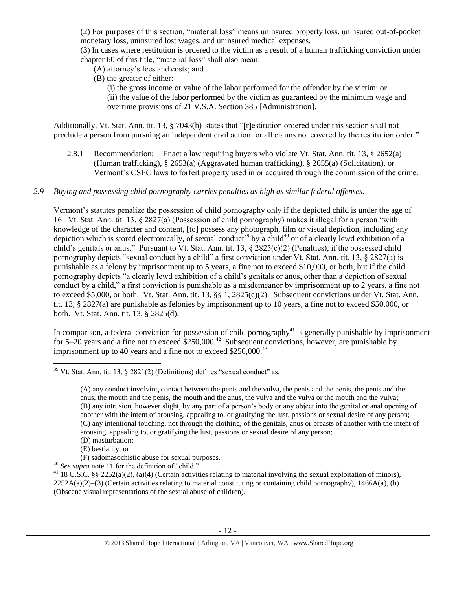(2) For purposes of this section, "material loss" means uninsured property loss, uninsured out-of-pocket monetary loss, uninsured lost wages, and uninsured medical expenses.

(3) In cases where restitution is ordered to the victim as a result of a human trafficking conviction under chapter 60 of this title, "material loss" shall also mean:

(A) attorney's fees and costs; and

(B) the greater of either:

(i) the gross income or value of the labor performed for the offender by the victim; or (ii) the value of the labor performed by the victim as guaranteed by the minimum wage and overtime provisions of 21 V.S.A. Section 385 [Administration].

Additionally, Vt. Stat. Ann. tit. 13, § 7043(h) states that "[r]estitution ordered under this section shall not preclude a person from pursuing an independent civil action for all claims not covered by the restitution order."

- 2.8.1 Recommendation: Enact a law requiring buyers who violate Vt. Stat. Ann. tit. 13, § 2652(a) (Human trafficking), § 2653(a) (Aggravated human trafficking), § 2655(a) (Solicitation), or Vermont's CSEC laws to forfeit property used in or acquired through the commission of the crime.
- *2.9 Buying and possessing child pornography carries penalties as high as similar federal offenses.*

<span id="page-11-0"></span>Vermont's statutes penalize the possession of child pornography only if the depicted child is under the age of 16. Vt. Stat. Ann. tit. 13, § 2827(a) (Possession of child pornography) makes it illegal for a person "with knowledge of the character and content, [to] possess any photograph, film or visual depiction, including any depiction which is stored electronically, of sexual conduct<sup>39</sup> by a child<sup>40</sup> or of a clearly lewd exhibition of a child's genitals or anus." Pursuant to Vt. Stat. Ann. tit. 13, § 2825(c)(2) (Penalties), if the possessed child pornography depicts "sexual conduct by a child" a first conviction under Vt. Stat. Ann. tit. 13, § 2827(a) is punishable as a felony by imprisonment up to 5 years, a fine not to exceed \$10,000, or both, but if the child pornography depicts "a clearly lewd exhibition of a child's genitals or anus, other than a depiction of sexual conduct by a child," a first conviction is punishable as a misdemeanor by imprisonment up to 2 years, a fine not to exceed \$5,000, or both. Vt. Stat. Ann. tit. 13, §§ 1, 2825(c)(2). Subsequent convictions under Vt. Stat. Ann. tit. 13, § 2827(a) are punishable as felonies by imprisonment up to 10 years, a fine not to exceed \$50,000, or both. Vt. Stat. Ann. tit. 13, § 2825(d).

In comparison, a federal conviction for possession of child pornography<sup>41</sup> is generally punishable by imprisonment for 5–20 years and a fine not to exceed  $$250,000.<sup>42</sup>$  Subsequent convictions, however, are punishable by imprisonment up to 40 years and a fine not to exceed  $$250,000.<sup>43</sup>$ 

 $\overline{\phantom{a}}$  $39$  Vt. Stat. Ann. tit. 13,  $\frac{2821(2)}{D}$  (Definitions) defines "sexual conduct" as,

<sup>(</sup>A) any conduct involving contact between the penis and the vulva, the penis and the penis, the penis and the anus, the mouth and the penis, the mouth and the anus, the vulva and the vulva or the mouth and the vulva; (B) any intrusion, however slight, by any part of a person's body or any object into the genital or anal opening of another with the intent of arousing, appealing to, or gratifying the lust, passions or sexual desire of any person; (C) any intentional touching, not through the clothing, of the genitals, anus or breasts of another with the intent of arousing, appealing to, or gratifying the lust, passions or sexual desire of any person; (D) masturbation;

<sup>(</sup>E) bestiality; or

<sup>(</sup>F) sadomasochistic abuse for sexual purposes. <sup>40</sup> *See supra* note [11](#page-2-1) for the definition of "child."

<sup>&</sup>lt;sup>41</sup> 18 U.S.C. §§ 2252(a)(2), (a)(4) (Certain activities relating to material involving the sexual exploitation of minors),  $2252A(a)(2)$ –(3) (Certain activities relating to material constituting or containing child pornography), 1466A(a), (b) (Obscene visual representations of the sexual abuse of children).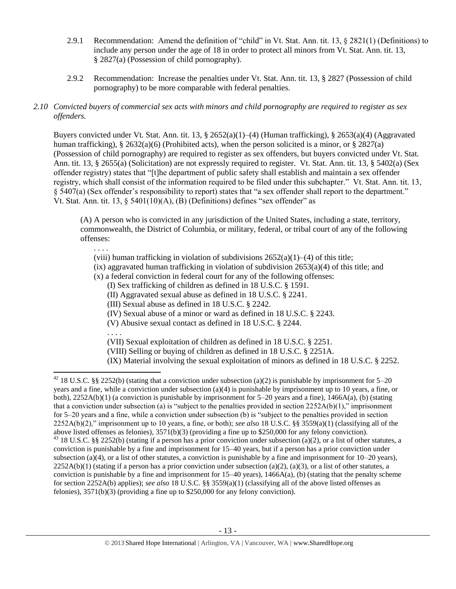- 2.9.1 Recommendation: Amend the definition of "child" in Vt. Stat. Ann. tit. 13, § 2821(1) (Definitions) to include any person under the age of 18 in order to protect all minors from Vt. Stat. Ann. tit. 13, § 2827(a) (Possession of child pornography).
- 2.9.2 Recommendation: Increase the penalties under Vt. Stat. Ann. tit. 13, § 2827 (Possession of child pornography) to be more comparable with federal penalties.

# *2.10 Convicted buyers of commercial sex acts with minors and child pornography are required to register as sex offenders.*

Buyers convicted under Vt. Stat. Ann. tit. 13, § 2652(a)(1)–(4) (Human trafficking), § 2653(a)(4) (Aggravated human trafficking), § 2632(a)(6) (Prohibited acts), when the person solicited is a minor, or § 2827(a) (Possession of child pornography) are required to register as sex offenders, but buyers convicted under Vt. Stat. Ann. tit. 13, § 2655(a) (Solicitation) are not expressly required to register. Vt. Stat. Ann. tit. 13, § 5402(a) (Sex offender registry) states that "[t]he department of public safety shall establish and maintain a sex offender registry, which shall consist of the information required to be filed under this subchapter." Vt. Stat. Ann. tit. 13, § 5407(a) (Sex offender's responsibility to report) states that "a sex offender shall report to the department." Vt. Stat. Ann. tit.  $13, \S$  5401(10)(A), (B) (Definitions) defines "sex offender" as

(A) A person who is convicted in any jurisdiction of the United States, including a state, territory, commonwealth, the District of Columbia, or military, federal, or tribal court of any of the following offenses:

. . . .

(viii) human trafficking in violation of subdivisions  $2652(a)(1)–(4)$  of this title;

 $f(x)$  aggravated human trafficking in violation of subdivision 2653(a)(4) of this title; and

(x) a federal conviction in federal court for any of the following offenses:

(I) Sex trafficking of children as defined in 18 U.S.C. § 1591.

(II) Aggravated sexual abuse as defined in 18 U.S.C. § 2241.

(III) Sexual abuse as defined in 18 U.S.C. § 2242.

(IV) Sexual abuse of a minor or ward as defined in 18 U.S.C. § 2243.

(V) Abusive sexual contact as defined in 18 U.S.C. § 2244.

. . . .

l

(VII) Sexual exploitation of children as defined in 18 U.S.C. § 2251.

(VIII) Selling or buying of children as defined in 18 U.S.C. § 2251A.

(IX) Material involving the sexual exploitation of minors as defined in 18 U.S.C. § 2252.

<sup>&</sup>lt;sup>42</sup> 18 U.S.C. §§ 2252(b) (stating that a conviction under subsection (a)(2) is punishable by imprisonment for 5–20 years and a fine, while a conviction under subsection (a)(4) is punishable by imprisonment up to 10 years, a fine, or both),  $2252A(b)(1)$  (a conviction is punishable by imprisonment for 5–20 years and a fine),  $1466A(a)$ , (b) (stating that a conviction under subsection (a) is "subject to the penalties provided in section  $2252A(b)(1)$ ," imprisonment for 5–20 years and a fine, while a conviction under subsection (b) is "subject to the penalties provided in section 2252A(b)(2)," imprisonment up to 10 years, a fine, or both); *see also* 18 U.S.C. §§ 3559(a)(1) (classifying all of the above listed offenses as felonies), 3571(b)(3) (providing a fine up to \$250,000 for any felony conviction). <sup>43</sup> 18 U.S.C. §§ 2252(b) (stating if a person has a prior conviction under subsection (a)(2), or a list of other statutes, a conviction is punishable by a fine and imprisonment for 15–40 years, but if a person has a prior conviction under subsection (a)(4), or a list of other statutes, a conviction is punishable by a fine and imprisonment for  $10-20$  years),

 $2252A(b)(1)$  (stating if a person has a prior conviction under subsection (a)(2), (a)(3), or a list of other statutes, a conviction is punishable by a fine and imprisonment for  $15-40$  years),  $1466A(a)$ , (b) (stating that the penalty scheme for section 2252A(b) applies); *see also* 18 U.S.C. §§ 3559(a)(1) (classifying all of the above listed offenses as felonies), 3571(b)(3) (providing a fine up to \$250,000 for any felony conviction).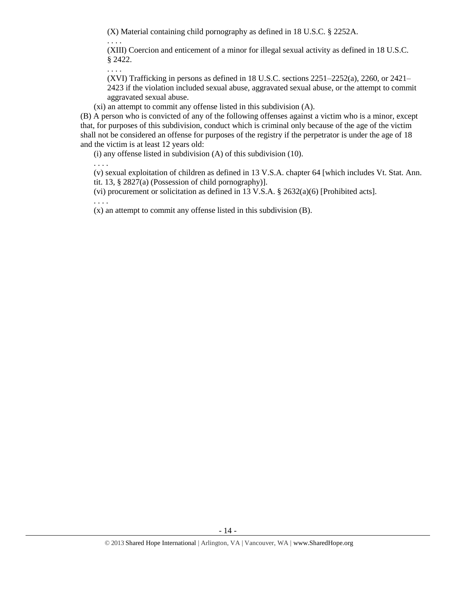(X) Material containing child pornography as defined in 18 U.S.C. § 2252A.

. . . .

(XIII) Coercion and enticement of a minor for illegal sexual activity as defined in 18 U.S.C. § 2422.

. . . .

(XVI) Trafficking in persons as defined in 18 U.S.C. sections 2251–2252(a), 2260, or 2421– 2423 if the violation included sexual abuse, aggravated sexual abuse, or the attempt to commit aggravated sexual abuse.

(xi) an attempt to commit any offense listed in this subdivision (A).

(B) A person who is convicted of any of the following offenses against a victim who is a minor, except that, for purposes of this subdivision, conduct which is criminal only because of the age of the victim shall not be considered an offense for purposes of the registry if the perpetrator is under the age of 18 and the victim is at least 12 years old:

(i) any offense listed in subdivision (A) of this subdivision (10).

. . . . (v) sexual exploitation of children as defined in 13 V.S.A. chapter 64 [which includes Vt. Stat. Ann.

tit. 13, § 2827(a) (Possession of child pornography)].

(vi) procurement or solicitation as defined in 13 V.S.A. § 2632(a)(6) [Prohibited acts].

. . . .

(x) an attempt to commit any offense listed in this subdivision (B).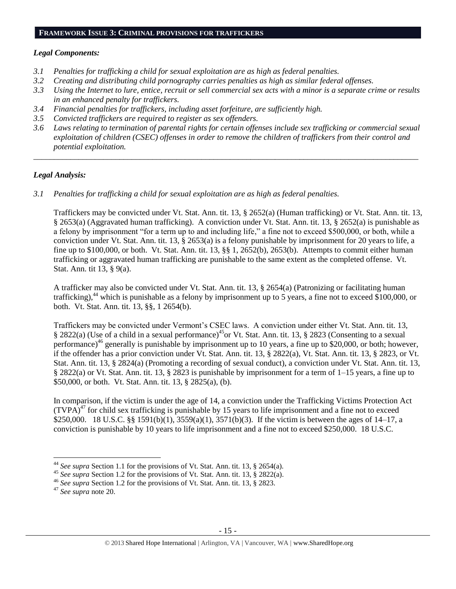# **FRAMEWORK ISSUE 3: CRIMINAL PROVISIONS FOR TRAFFICKERS**

#### *Legal Components:*

- *3.1 Penalties for trafficking a child for sexual exploitation are as high as federal penalties.*
- *3.2 Creating and distributing child pornography carries penalties as high as similar federal offenses.*
- *3.3 Using the Internet to lure, entice, recruit or sell commercial sex acts with a minor is a separate crime or results in an enhanced penalty for traffickers.*
- *3.4 Financial penalties for traffickers, including asset forfeiture, are sufficiently high.*
- *3.5 Convicted traffickers are required to register as sex offenders.*
- *3.6 Laws relating to termination of parental rights for certain offenses include sex trafficking or commercial sexual exploitation of children (CSEC) offenses in order to remove the children of traffickers from their control and potential exploitation.*

*\_\_\_\_\_\_\_\_\_\_\_\_\_\_\_\_\_\_\_\_\_\_\_\_\_\_\_\_\_\_\_\_\_\_\_\_\_\_\_\_\_\_\_\_\_\_\_\_\_\_\_\_\_\_\_\_\_\_\_\_\_\_\_\_\_\_\_\_\_\_\_\_\_\_\_\_\_\_\_\_\_\_\_\_\_\_\_\_\_\_\_\_\_\_*

#### *Legal Analysis:*

*3.1 Penalties for trafficking a child for sexual exploitation are as high as federal penalties.* 

Traffickers may be convicted under Vt. Stat. Ann. tit. 13, § 2652(a) (Human trafficking) or Vt. Stat. Ann. tit. 13, § 2653(a) (Aggravated human trafficking). A conviction under Vt. Stat. Ann. tit. 13, § 2652(a) is punishable as a felony by imprisonment "for a term up to and including life," a fine not to exceed \$500,000, or both, while a conviction under Vt. Stat. Ann. tit. 13, § 2653(a) is a felony punishable by imprisonment for 20 years to life, a fine up to \$100,000, or both. Vt. Stat. Ann. tit. 13, §§ 1, 2652(b), 2653(b). Attempts to commit either human trafficking or aggravated human trafficking are punishable to the same extent as the completed offense. Vt. Stat. Ann. tit 13, § 9(a).

A trafficker may also be convicted under Vt. Stat. Ann. tit. 13, § 2654(a) (Patronizing or facilitating human trafficking),<sup>44</sup> which is punishable as a felony by imprisonment up to 5 years, a fine not to exceed \$100,000, or both. Vt. Stat. Ann. tit. 13, §§, 1 2654(b).

Traffickers may be convicted under Vermont's CSEC laws. A conviction under either Vt. Stat. Ann. tit. 13, § 2822(a) (Use of a child in a sexual performance)<sup>45</sup>or Vt. Stat. Ann. tit. 13, § 2823 (Consenting to a sexual performance)<sup>46</sup> generally is punishable by imprisonment up to 10 years, a fine up to \$20,000, or both; however, if the offender has a prior conviction under Vt. Stat. Ann. tit. 13, § 2822(a), Vt. Stat. Ann. tit. 13, § 2823, or Vt. Stat. Ann. tit. 13, § 2824(a) (Promoting a recording of sexual conduct), a conviction under Vt. Stat. Ann. tit. 13, § 2822(a) or Vt. Stat. Ann. tit. 13, § 2823 is punishable by imprisonment for a term of 1–15 years, a fine up to \$50,000, or both. Vt. Stat. Ann. tit. 13, § 2825(a), (b).

In comparison, if the victim is under the age of 14, a conviction under the Trafficking Victims Protection Act  $(TVPA)^{47}$  for child sex trafficking is punishable by 15 years to life imprisonment and a fine not to exceed \$250,000. 18 U.S.C. §§ 1591(b)(1), 3559(a)(1), 3571(b)(3). If the victim is between the ages of 14–17, a conviction is punishable by 10 years to life imprisonment and a fine not to exceed \$250,000. 18 U.S.C.

<sup>44</sup> *See supra* Section 1.1 for the provisions of Vt. Stat. Ann. tit. 13, § 2654(a).

<sup>45</sup> *See supra* Section 1.2 for the provisions of Vt. Stat. Ann. tit. 13, § 2822(a).

<sup>46</sup> *See supra* Section 1.2 for the provisions of Vt. Stat. Ann. tit. 13, § 2823.

<sup>47</sup> *See supra* note [20.](#page-6-0)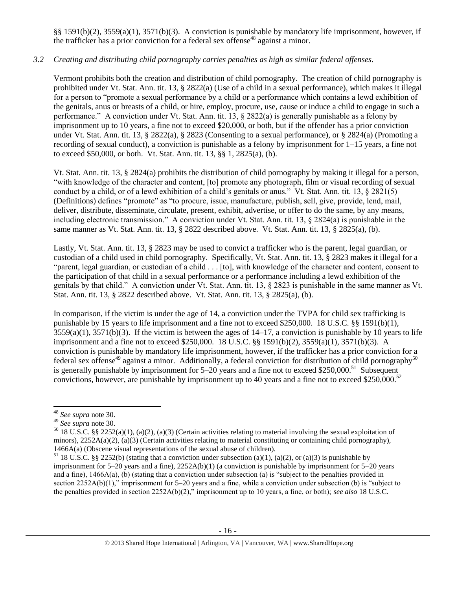§§ 1591(b)(2), 3559(a)(1), 3571(b)(3). A conviction is punishable by mandatory life imprisonment, however, if the trafficker has a prior conviction for a federal sex offense<sup>48</sup> against a minor.

# *3.2 Creating and distributing child pornography carries penalties as high as similar federal offenses.*

Vermont prohibits both the creation and distribution of child pornography. The creation of child pornography is prohibited under Vt. Stat. Ann. tit. 13, § 2822(a) (Use of a child in a sexual performance), which makes it illegal for a person to "promote a sexual performance by a child or a performance which contains a lewd exhibition of the genitals, anus or breasts of a child, or hire, employ, procure, use, cause or induce a child to engage in such a performance." A conviction under Vt. Stat. Ann. tit. 13,  $\S 2822(a)$  is generally punishable as a felony by imprisonment up to 10 years, a fine not to exceed \$20,000, or both, but if the offender has a prior conviction under Vt. Stat. Ann. tit. 13, § 2822(a), § 2823 (Consenting to a sexual performance), or § 2824(a) (Promoting a recording of sexual conduct), a conviction is punishable as a felony by imprisonment for 1–15 years, a fine not to exceed \$50,000, or both. Vt. Stat. Ann. tit. 13, §§ 1, 2825(a), (b).

Vt. Stat. Ann. tit. 13, § 2824(a) prohibits the distribution of child pornography by making it illegal for a person, "with knowledge of the character and content, [to] promote any photograph, film or visual recording of sexual conduct by a child, or of a lewd exhibition of a child's genitals or anus." Vt. Stat. Ann. tit. 13, § 2821(5) (Definitions) defines "promote" as "to procure, issue, manufacture, publish, sell, give, provide, lend, mail, deliver, distribute, disseminate, circulate, present, exhibit, advertise, or offer to do the same, by any means, including electronic transmission." A conviction under Vt. Stat. Ann. tit. 13, § 2824(a) is punishable in the same manner as Vt. Stat. Ann. tit. 13, § 2822 described above. Vt. Stat. Ann. tit. 13, § 2825(a), (b).

Lastly, Vt. Stat. Ann. tit. 13, § 2823 may be used to convict a trafficker who is the parent, legal guardian, or custodian of a child used in child pornography. Specifically, Vt. Stat. Ann. tit. 13, § 2823 makes it illegal for a "parent, legal guardian, or custodian of a child . . . [to], with knowledge of the character and content, consent to the participation of that child in a sexual performance or a performance including a lewd exhibition of the genitals by that child." A conviction under Vt. Stat. Ann. tit. 13, § 2823 is punishable in the same manner as Vt. Stat. Ann. tit. 13, § 2822 described above. Vt. Stat. Ann. tit. 13, § 2825(a), (b).

In comparison, if the victim is under the age of 14, a conviction under the TVPA for child sex trafficking is punishable by 15 years to life imprisonment and a fine not to exceed \$250,000. 18 U.S.C. §§ 1591(b)(1),  $3559(a)(1)$ ,  $3571(b)(3)$ . If the victim is between the ages of  $14-17$ , a conviction is punishable by 10 years to life imprisonment and a fine not to exceed \$250,000. 18 U.S.C. §§ 1591(b)(2), 3559(a)(1), 3571(b)(3). A conviction is punishable by mandatory life imprisonment, however, if the trafficker has a prior conviction for a federal sex offense<sup>49</sup> against a minor. Additionally, a federal conviction for distribution of child pornography<sup>50</sup> is generally punishable by imprisonment for  $5-20$  years and a fine not to exceed \$250,000.<sup>51</sup> Subsequent convictions, however, are punishable by imprisonment up to 40 years and a fine not to exceed \$250,000.<sup>52</sup>

<sup>48</sup> *See supra* note [30.](#page-8-0) 

<sup>49</sup> *See supra* note [30.](#page-8-0)

<sup>&</sup>lt;sup>50</sup> 18 U.S.C. §§ 2252(a)(1), (a)(2), (a)(3) (Certain activities relating to material involving the sexual exploitation of minors),  $2252A(a)(2)$ ,  $(a)(3)$  (Certain activities relating to material constituting or containing child pornography), 1466A(a) (Obscene visual representations of the sexual abuse of children).

<sup>&</sup>lt;sup>51</sup> 18 U.S.C. §§ 2252(b) (stating that a conviction under subsection (a)(1), (a)(2), or (a)(3) is punishable by imprisonment for 5–20 years and a fine), 2252A(b)(1) (a conviction is punishable by imprisonment for 5–20 years and a fine), 1466A(a), (b) (stating that a conviction under subsection (a) is "subject to the penalties provided in section 2252A(b)(1)," imprisonment for 5–20 years and a fine, while a conviction under subsection (b) is "subject to the penalties provided in section 2252A(b)(2)," imprisonment up to 10 years, a fine, or both); *see also* 18 U.S.C.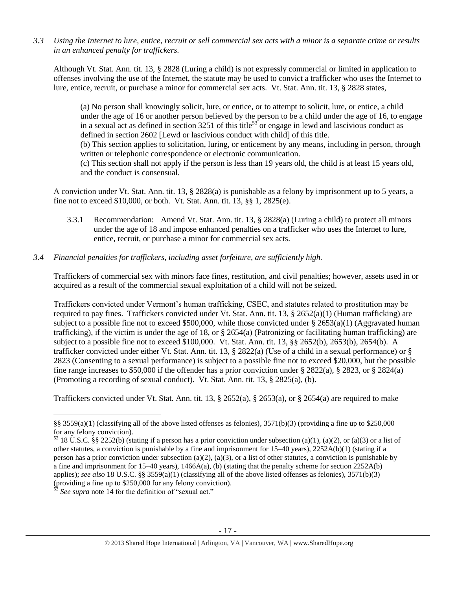*3.3 Using the Internet to lure, entice, recruit or sell commercial sex acts with a minor is a separate crime or results in an enhanced penalty for traffickers.*

Although Vt. Stat. Ann. tit. 13, § 2828 (Luring a child) is not expressly commercial or limited in application to offenses involving the use of the Internet, the statute may be used to convict a trafficker who uses the Internet to lure, entice, recruit, or purchase a minor for commercial sex acts. Vt. Stat. Ann. tit. 13, § 2828 states,

(a) No person shall knowingly solicit, lure, or entice, or to attempt to solicit, lure, or entice, a child under the age of 16 or another person believed by the person to be a child under the age of 16, to engage in a sexual act as defined in section 3251 of this title<sup>53</sup> or engage in lewd and lascivious conduct as defined in section 2602 [Lewd or lascivious conduct with child] of this title. (b) This section applies to solicitation, luring, or enticement by any means, including in person, through written or telephonic correspondence or electronic communication. (c) This section shall not apply if the person is less than 19 years old, the child is at least 15 years old, and the conduct is consensual.

A conviction under Vt. Stat. Ann. tit. 13, § 2828(a) is punishable as a felony by imprisonment up to 5 years, a fine not to exceed \$10,000, or both. Vt. Stat. Ann. tit. 13, §§ 1, 2825(e).

3.3.1 Recommendation: Amend Vt. Stat. Ann. tit. 13, § 2828(a) (Luring a child) to protect all minors under the age of 18 and impose enhanced penalties on a trafficker who uses the Internet to lure, entice, recruit, or purchase a minor for commercial sex acts.

### *3.4 Financial penalties for traffickers, including asset forfeiture, are sufficiently high.*

Traffickers of commercial sex with minors face fines, restitution, and civil penalties; however, assets used in or acquired as a result of the commercial sexual exploitation of a child will not be seized.

Traffickers convicted under Vermont's human trafficking, CSEC, and statutes related to prostitution may be required to pay fines. Traffickers convicted under Vt. Stat. Ann. tit. 13,  $\S$  2652(a)(1) (Human trafficking) are subject to a possible fine not to exceed \$500,000, while those convicted under § 2653(a)(1) (Aggravated human trafficking), if the victim is under the age of 18, or  $\S 2654(a)$  (Patronizing or facilitating human trafficking) are subject to a possible fine not to exceed \$100,000. Vt. Stat. Ann. tit. 13, §§ 2652(b), 2653(b), 2654(b). A trafficker convicted under either Vt. Stat. Ann. tit. 13, § 2822(a) (Use of a child in a sexual performance) or § 2823 (Consenting to a sexual performance) is subject to a possible fine not to exceed \$20,000, but the possible fine range increases to \$50,000 if the offender has a prior conviction under § 2822(a), § 2823, or § 2824(a) (Promoting a recording of sexual conduct). Vt. Stat. Ann. tit. 13, § 2825(a), (b).

Traffickers convicted under Vt. Stat. Ann. tit. 13, § 2652(a), § 2653(a), or § 2654(a) are required to make

<sup>§§ 3559(</sup>a)(1) (classifying all of the above listed offenses as felonies),  $3571(b)(3)$  (providing a fine up to \$250,000 for any felony conviction).

 $52$  18 U.S.C. §§ 2252(b) (stating if a person has a prior conviction under subsection (a)(1), (a)(2), or (a)(3) or a list of other statutes, a conviction is punishable by a fine and imprisonment for 15–40 years), 2252A(b)(1) (stating if a person has a prior conviction under subsection (a)(2), (a)(3), or a list of other statutes, a conviction is punishable by a fine and imprisonment for 15–40 years), 1466A(a), (b) (stating that the penalty scheme for section 2252A(b) applies); *see also* 18 U.S.C. §§ 3559(a)(1) (classifying all of the above listed offenses as felonies), 3571(b)(3) (providing a fine up to \$250,000 for any felony conviction).

See supra note [14](#page-3-0) for the definition of "sexual act."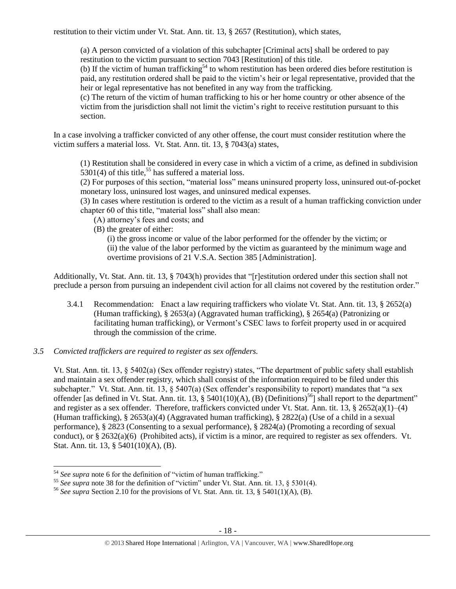restitution to their victim under Vt. Stat. Ann. tit. 13, § 2657 (Restitution), which states,

(a) A person convicted of a violation of this subchapter [Criminal acts] shall be ordered to pay restitution to the victim pursuant to section 7043 [Restitution] of this title.

(b) If the victim of human trafficking<sup>54</sup> to whom restitution has been ordered dies before restitution is paid, any restitution ordered shall be paid to the victim's heir or legal representative, provided that the heir or legal representative has not benefited in any way from the trafficking.

(c) The return of the victim of human trafficking to his or her home country or other absence of the victim from the jurisdiction shall not limit the victim's right to receive restitution pursuant to this section.

In a case involving a trafficker convicted of any other offense, the court must consider restitution where the victim suffers a material loss. Vt. Stat. Ann. tit. 13, § 7043(a) states,

(1) Restitution shall be considered in every case in which a victim of a crime, as defined in subdivision  $5301(4)$  of this title,<sup>55</sup> has suffered a material loss.

(2) For purposes of this section, "material loss" means uninsured property loss, uninsured out-of-pocket monetary loss, uninsured lost wages, and uninsured medical expenses.

(3) In cases where restitution is ordered to the victim as a result of a human trafficking conviction under chapter 60 of this title, "material loss" shall also mean:

- (A) attorney's fees and costs; and
- (B) the greater of either:

(i) the gross income or value of the labor performed for the offender by the victim; or (ii) the value of the labor performed by the victim as guaranteed by the minimum wage and overtime provisions of 21 V.S.A. Section 385 [Administration].

Additionally, Vt. Stat. Ann. tit. 13, § 7043(h) provides that "[r]estitution ordered under this section shall not preclude a person from pursuing an independent civil action for all claims not covered by the restitution order."

- 3.4.1 Recommendation: Enact a law requiring traffickers who violate Vt. Stat. Ann. tit. 13, § 2652(a) (Human trafficking), § 2653(a) (Aggravated human trafficking), § 2654(a) (Patronizing or facilitating human trafficking), or Vermont's CSEC laws to forfeit property used in or acquired through the commission of the crime.
- *3.5 Convicted traffickers are required to register as sex offenders.*

Vt. Stat. Ann. tit. 13, § 5402(a) (Sex offender registry) states, "The department of public safety shall establish and maintain a sex offender registry, which shall consist of the information required to be filed under this subchapter." Vt. Stat. Ann. tit. 13, § 5407(a) (Sex offender's responsibility to report) mandates that "a sex offender [as defined in Vt. Stat. Ann. tit. 13, § 5401(10)(A), (B) (Definitions)<sup>56</sup>] shall report to the department" and register as a sex offender. Therefore, traffickers convicted under Vt. Stat. Ann. tit. 13,  $\S 2652(a)(1)–(4)$ (Human trafficking), § 2653(a)(4) (Aggravated human trafficking), § 2822(a) (Use of a child in a sexual performance), § 2823 (Consenting to a sexual performance), § 2824(a) (Promoting a recording of sexual conduct), or  $\S 2632(a)(6)$  (Prohibited acts), if victim is a minor, are required to register as sex offenders. Vt. Stat. Ann. tit. 13, § 5401(10)(A), (B).

 $\overline{\phantom{a}}$ <sup>54</sup> *See supra* note [6](#page-1-0) for the definition of "victim of human trafficking."

<sup>&</sup>lt;sup>55</sup> See supra note [38](#page-10-0) for the definition of "victim" under Vt. Stat. Ann. tit. 13, § 5301(4).

<sup>56</sup> *See supra* Section 2.10 for the provisions of Vt. Stat. Ann. tit. 13, § 5401(1)(A), (B).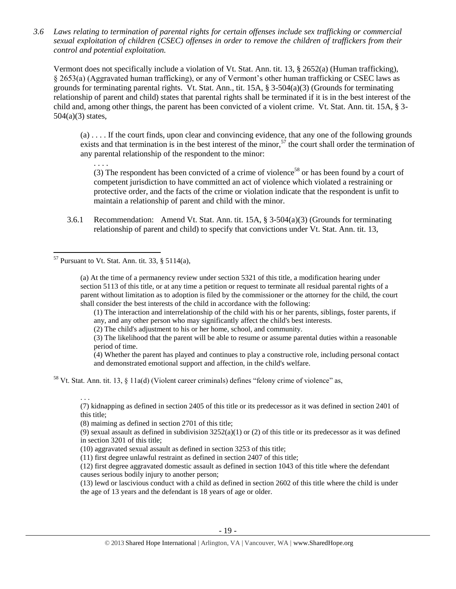*3.6 Laws relating to termination of parental rights for certain offenses include sex trafficking or commercial sexual exploitation of children (CSEC) offenses in order to remove the children of traffickers from their control and potential exploitation.* 

Vermont does not specifically include a violation of Vt. Stat. Ann. tit. 13, § 2652(a) (Human trafficking), § 2653(a) (Aggravated human trafficking), or any of Vermont's other human trafficking or CSEC laws as grounds for terminating parental rights. Vt. Stat. Ann., tit. 15A, § 3-504(a)(3) (Grounds for terminating relationship of parent and child) states that parental rights shall be terminated if it is in the best interest of the child and, among other things, the parent has been convicted of a violent crime. Vt. Stat. Ann. tit. 15A, § 3-  $504(a)(3)$  states,

(a) . . . . If the court finds, upon clear and convincing evidence, that any one of the following grounds exists and that termination is in the best interest of the minor,<sup>57</sup> the court shall order the termination of any parental relationship of the respondent to the minor:

. . . . (3) The respondent has been convicted of a crime of violence<sup>58</sup> or has been found by a court of competent jurisdiction to have committed an act of violence which violated a restraining or protective order, and the facts of the crime or violation indicate that the respondent is unfit to maintain a relationship of parent and child with the minor.

3.6.1 Recommendation: Amend Vt. Stat. Ann. tit. 15A, § 3-504(a)(3) (Grounds for terminating relationship of parent and child) to specify that convictions under Vt. Stat. Ann. tit. 13,

 $57$  Pursuant to Vt. Stat. Ann. tit. 33, § 5114(a),

 $\overline{\phantom{a}}$ 

. . .

(a) At the time of a permanency review under section 5321 of this title, a modification hearing under section 5113 of this title, or at any time a petition or request to terminate all residual parental rights of a parent without limitation as to adoption is filed by the commissioner or the attorney for the child, the court shall consider the best interests of the child in accordance with the following:

(1) The interaction and interrelationship of the child with his or her parents, siblings, foster parents, if any, and any other person who may significantly affect the child's best interests.

(2) The child's adjustment to his or her home, school, and community.

(3) The likelihood that the parent will be able to resume or assume parental duties within a reasonable period of time.

(4) Whether the parent has played and continues to play a constructive role, including personal contact and demonstrated emotional support and affection, in the child's welfare.

<sup>58</sup> Vt. Stat. Ann. tit. 13, § 11a(d) (Violent career criminals) defines "felony crime of violence" as,

(7) kidnapping as defined in section 2405 of this title or its predecessor as it was defined in section 2401 of this title;

(8) maiming as defined in section 2701 of this title;

(9) sexual assault as defined in subdivision  $3252(a)(1)$  or (2) of this title or its predecessor as it was defined in section 3201 of this title;

(10) aggravated sexual assault as defined in section 3253 of this title;

(11) first degree unlawful restraint as defined in section 2407 of this title;

(12) first degree aggravated domestic assault as defined in section 1043 of this title where the defendant causes serious bodily injury to another person;

(13) lewd or lascivious conduct with a child as defined in section 2602 of this title where the child is under the age of 13 years and the defendant is 18 years of age or older.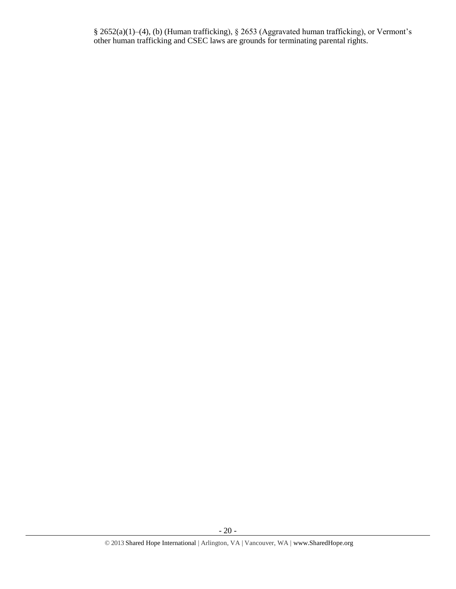§ 2652(a)(1)–(4), (b) (Human trafficking), § 2653 (Aggravated human trafficking), or Vermont's other human trafficking and CSEC laws are grounds for terminating parental rights.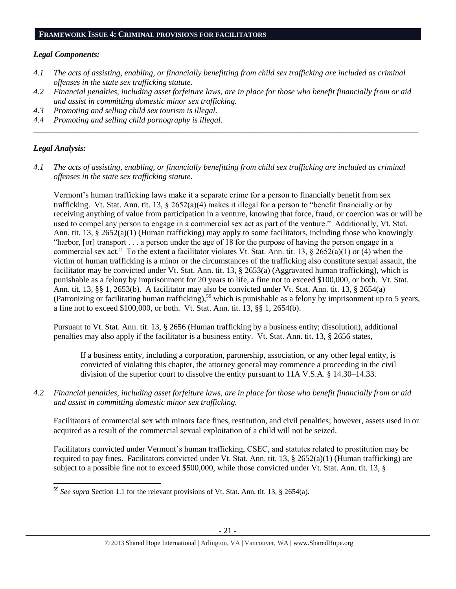#### **FRAMEWORK ISSUE 4: CRIMINAL PROVISIONS FOR FACILITATORS**

#### *Legal Components:*

- *4.1 The acts of assisting, enabling, or financially benefitting from child sex trafficking are included as criminal offenses in the state sex trafficking statute.*
- *4.2 Financial penalties, including asset forfeiture laws, are in place for those who benefit financially from or aid and assist in committing domestic minor sex trafficking.*

*\_\_\_\_\_\_\_\_\_\_\_\_\_\_\_\_\_\_\_\_\_\_\_\_\_\_\_\_\_\_\_\_\_\_\_\_\_\_\_\_\_\_\_\_\_\_\_\_\_\_\_\_\_\_\_\_\_\_\_\_\_\_\_\_\_\_\_\_\_\_\_\_\_\_\_\_\_\_\_\_\_\_\_\_\_\_\_\_\_\_\_\_\_\_*

- *4.3 Promoting and selling child sex tourism is illegal.*
- *4.4 Promoting and selling child pornography is illegal.*

### *Legal Analysis:*

*4.1 The acts of assisting, enabling, or financially benefitting from child sex trafficking are included as criminal offenses in the state sex trafficking statute.*

Vermont's human trafficking laws make it a separate crime for a person to financially benefit from sex trafficking. Vt. Stat. Ann. tit. 13, § 2652(a)(4) makes it illegal for a person to "benefit financially or by receiving anything of value from participation in a venture, knowing that force, fraud, or coercion was or will be used to compel any person to engage in a commercial sex act as part of the venture." Additionally, Vt. Stat. Ann. tit. 13, § 2652(a)(1) (Human trafficking) may apply to some facilitators, including those who knowingly "harbor, [or] transport . . . a person under the age of 18 for the purpose of having the person engage in a commercial sex act." To the extent a facilitator violates Vt. Stat. Ann. tit. 13, § 2652(a)(1) or (4) when the victim of human trafficking is a minor or the circumstances of the trafficking also constitute sexual assault, the facilitator may be convicted under Vt. Stat. Ann. tit. 13, § 2653(a) (Aggravated human trafficking), which is punishable as a felony by imprisonment for 20 years to life, a fine not to exceed \$100,000, or both. Vt. Stat. Ann. tit. 13, §§ 1, 2653(b). A facilitator may also be convicted under Vt. Stat. Ann. tit. 13, § 2654(a) (Patronizing or facilitating human trafficking),<sup>59</sup> which is punishable as a felony by imprisonment up to 5 years, a fine not to exceed \$100,000, or both. Vt. Stat. Ann. tit. 13, §§ 1, 2654(b).

Pursuant to Vt. Stat. Ann. tit. 13, § 2656 (Human trafficking by a business entity; dissolution), additional penalties may also apply if the facilitator is a business entity. Vt. Stat. Ann. tit. 13, § 2656 states,

If a business entity, including a corporation, partnership, association, or any other legal entity, is convicted of violating this chapter, the attorney general may commence a proceeding in the civil division of the superior court to dissolve the entity pursuant to 11A V.S.A. § 14.30–14.33.

*4.2 Financial penalties, including asset forfeiture laws, are in place for those who benefit financially from or aid and assist in committing domestic minor sex trafficking.*

Facilitators of commercial sex with minors face fines, restitution, and civil penalties; however, assets used in or acquired as a result of the commercial sexual exploitation of a child will not be seized.

Facilitators convicted under Vermont's human trafficking, CSEC, and statutes related to prostitution may be required to pay fines. Facilitators convicted under Vt. Stat. Ann. tit. 13, § 2652(a)(1) (Human trafficking) are subject to a possible fine not to exceed \$500,000, while those convicted under Vt. Stat. Ann. tit. 13, §

 $\overline{a}$ <sup>59</sup> *See supra* Section 1.1 for the relevant provisions of Vt. Stat. Ann. tit. 13, § 2654(a).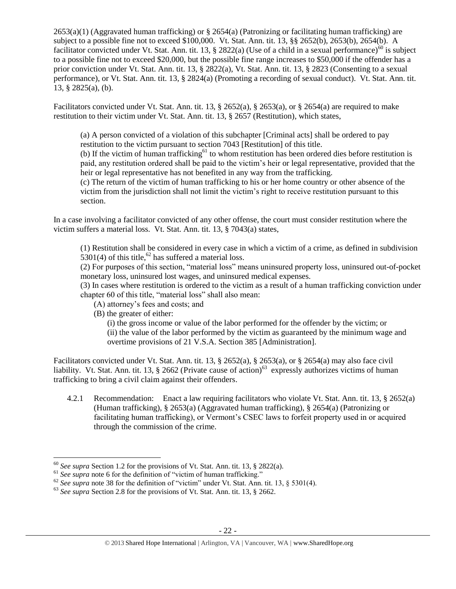$2653(a)(1)$  (Aggravated human trafficking) or § 2654(a) (Patronizing or facilitating human trafficking) are subject to a possible fine not to exceed \$100,000. Vt. Stat. Ann. tit. 13, §§ 2652(b), 2653(b), 2654(b). A facilitator convicted under Vt. Stat. Ann. tit. 13, § 2822(a) (Use of a child in a sexual performance)<sup>60</sup> is subject to a possible fine not to exceed \$20,000, but the possible fine range increases to \$50,000 if the offender has a prior conviction under Vt. Stat. Ann. tit. 13, § 2822(a), Vt. Stat. Ann. tit. 13, § 2823 (Consenting to a sexual performance), or Vt. Stat. Ann. tit. 13, § 2824(a) (Promoting a recording of sexual conduct). Vt. Stat. Ann. tit. 13, § 2825(a), (b).

Facilitators convicted under Vt. Stat. Ann. tit. 13, § 2652(a), § 2653(a), or § 2654(a) are required to make restitution to their victim under Vt. Stat. Ann. tit. 13, § 2657 (Restitution), which states,

(a) A person convicted of a violation of this subchapter [Criminal acts] shall be ordered to pay restitution to the victim pursuant to section 7043 [Restitution] of this title.

(b) If the victim of human trafficking<sup>61</sup> to whom restitution has been ordered dies before restitution is paid, any restitution ordered shall be paid to the victim's heir or legal representative, provided that the heir or legal representative has not benefited in any way from the trafficking.

(c) The return of the victim of human trafficking to his or her home country or other absence of the victim from the jurisdiction shall not limit the victim's right to receive restitution pursuant to this section.

In a case involving a facilitator convicted of any other offense, the court must consider restitution where the victim suffers a material loss. Vt. Stat. Ann. tit. 13, § 7043(a) states,

(1) Restitution shall be considered in every case in which a victim of a crime, as defined in subdivision 5301(4) of this title,<sup>62</sup> has suffered a material loss.

(2) For purposes of this section, "material loss" means uninsured property loss, uninsured out-of-pocket monetary loss, uninsured lost wages, and uninsured medical expenses.

(3) In cases where restitution is ordered to the victim as a result of a human trafficking conviction under chapter 60 of this title, "material loss" shall also mean:

- (A) attorney's fees and costs; and
- (B) the greater of either:

(i) the gross income or value of the labor performed for the offender by the victim; or (ii) the value of the labor performed by the victim as guaranteed by the minimum wage and overtime provisions of 21 V.S.A. Section 385 [Administration].

Facilitators convicted under Vt. Stat. Ann. tit. 13, § 2652(a), § 2653(a), or § 2654(a) may also face civil liability. Vt. Stat. Ann. tit. 13,  $\S$  2662 (Private cause of action)<sup>63</sup> expressly authorizes victims of human trafficking to bring a civil claim against their offenders.

4.2.1 Recommendation: Enact a law requiring facilitators who violate Vt. Stat. Ann. tit. 13, § 2652(a) (Human trafficking), § 2653(a) (Aggravated human trafficking), § 2654(a) (Patronizing or facilitating human trafficking), or Vermont's CSEC laws to forfeit property used in or acquired through the commission of the crime.

<sup>60</sup> *See supra* Section 1.2 for the provisions of Vt. Stat. Ann. tit. 13, § 2822(a).

<sup>&</sup>lt;sup>61</sup> See supra note [6](#page-1-0) for the definition of "victim of human trafficking."

 $62$  *See supra* note [38](#page-10-0) for the definition of "victim" under Vt. Stat. Ann. tit. 13, § 5301(4).

<sup>&</sup>lt;sup>63</sup> See supra Section 2.8 for the provisions of Vt. Stat. Ann. tit. 13, § 2662.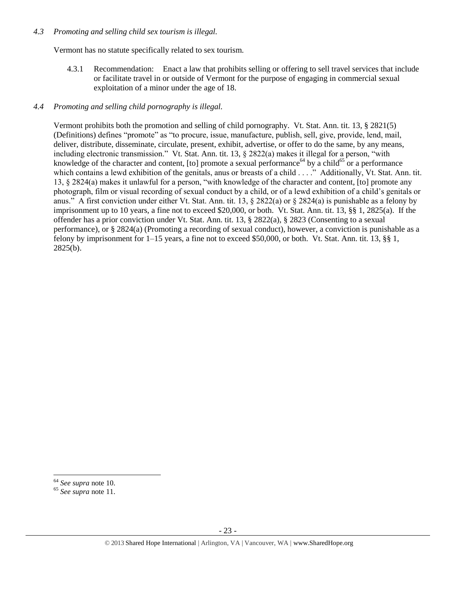### *4.3 Promoting and selling child sex tourism is illegal.*

Vermont has no statute specifically related to sex tourism.

4.3.1 Recommendation: Enact a law that prohibits selling or offering to sell travel services that include or facilitate travel in or outside of Vermont for the purpose of engaging in commercial sexual exploitation of a minor under the age of 18.

# *4.4 Promoting and selling child pornography is illegal.*

Vermont prohibits both the promotion and selling of child pornography. Vt. Stat. Ann. tit. 13, § 2821(5) (Definitions) defines "promote" as "to procure, issue, manufacture, publish, sell, give, provide, lend, mail, deliver, distribute, disseminate, circulate, present, exhibit, advertise, or offer to do the same, by any means, including electronic transmission." Vt. Stat. Ann. tit. 13, § 2822(a) makes it illegal for a person, "with knowledge of the character and content, [to] promote a sexual performance<sup>64</sup> by a child<sup>65</sup> or a performance which contains a lewd exhibition of the genitals, anus or breasts of a child . . . ." Additionally, Vt. Stat. Ann. tit. 13, § 2824(a) makes it unlawful for a person, "with knowledge of the character and content, [to] promote any photograph, film or visual recording of sexual conduct by a child, or of a lewd exhibition of a child's genitals or anus." A first conviction under either Vt. Stat. Ann. tit. 13,  $\S 2822(a)$  or  $\S 2824(a)$  is punishable as a felony by imprisonment up to 10 years, a fine not to exceed \$20,000, or both. Vt. Stat. Ann. tit. 13, §§ 1, 2825(a). If the offender has a prior conviction under Vt. Stat. Ann. tit. 13, § 2822(a), § 2823 (Consenting to a sexual performance), or § 2824(a) (Promoting a recording of sexual conduct), however, a conviction is punishable as a felony by imprisonment for 1–15 years, a fine not to exceed \$50,000, or both. Vt. Stat. Ann. tit. 13, §§ 1, 2825(b).

l <sup>64</sup> *See supra* note [10.](#page-2-0) 

<sup>65</sup> *See supra* note [11.](#page-2-1)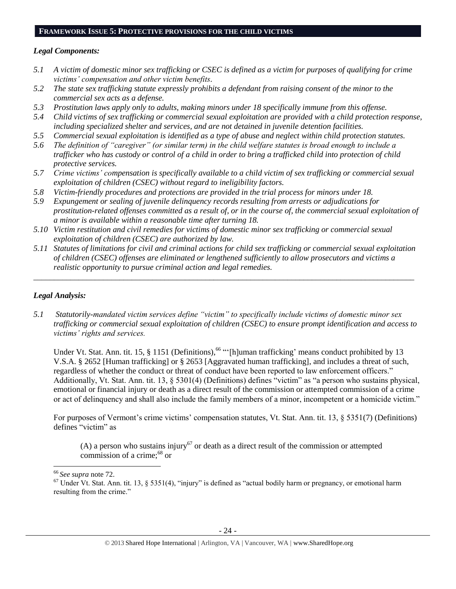#### **FRAMEWORK ISSUE 5: PROTECTIVE PROVISIONS FOR THE CHILD VICTIMS**

#### *Legal Components:*

- *5.1 A victim of domestic minor sex trafficking or CSEC is defined as a victim for purposes of qualifying for crime victims' compensation and other victim benefits.*
- *5.2 The state sex trafficking statute expressly prohibits a defendant from raising consent of the minor to the commercial sex acts as a defense.*
- *5.3 Prostitution laws apply only to adults, making minors under 18 specifically immune from this offense.*
- *5.4 Child victims of sex trafficking or commercial sexual exploitation are provided with a child protection response, including specialized shelter and services, and are not detained in juvenile detention facilities.*
- *5.5 Commercial sexual exploitation is identified as a type of abuse and neglect within child protection statutes.*
- *5.6 The definition of "caregiver" (or similar term) in the child welfare statutes is broad enough to include a trafficker who has custody or control of a child in order to bring a trafficked child into protection of child protective services.*
- *5.7 Crime victims' compensation is specifically available to a child victim of sex trafficking or commercial sexual exploitation of children (CSEC) without regard to ineligibility factors.*
- *5.8 Victim-friendly procedures and protections are provided in the trial process for minors under 18.*
- *5.9 Expungement or sealing of juvenile delinquency records resulting from arrests or adjudications for prostitution-related offenses committed as a result of, or in the course of, the commercial sexual exploitation of a minor is available within a reasonable time after turning 18.*
- *5.10 Victim restitution and civil remedies for victims of domestic minor sex trafficking or commercial sexual exploitation of children (CSEC) are authorized by law.*
- *5.11 Statutes of limitations for civil and criminal actions for child sex trafficking or commercial sexual exploitation of children (CSEC) offenses are eliminated or lengthened sufficiently to allow prosecutors and victims a realistic opportunity to pursue criminal action and legal remedies.*

*\_\_\_\_\_\_\_\_\_\_\_\_\_\_\_\_\_\_\_\_\_\_\_\_\_\_\_\_\_\_\_\_\_\_\_\_\_\_\_\_\_\_\_\_\_\_\_\_\_\_\_\_\_\_\_\_\_\_\_\_\_\_\_\_\_\_\_\_\_\_\_\_\_\_\_\_\_\_\_\_\_\_\_\_\_\_\_\_\_\_\_\_\_*

### *Legal Analysis:*

*5.1 Statutorily-mandated victim services define "victim" to specifically include victims of domestic minor sex trafficking or commercial sexual exploitation of children (CSEC) to ensure prompt identification and access to victims' rights and services.* 

<span id="page-23-0"></span>Under Vt. Stat. Ann. tit. 15,  $\S$  1151 (Definitions), <sup>66</sup> "[h]uman trafficking' means conduct prohibited by 13 V.S.A. § 2652 [Human trafficking] or § 2653 [Aggravated human trafficking], and includes a threat of such, regardless of whether the conduct or threat of conduct have been reported to law enforcement officers." Additionally, Vt. Stat. Ann. tit. 13, § 5301(4) (Definitions) defines "victim" as "a person who sustains physical, emotional or financial injury or death as a direct result of the commission or attempted commission of a crime or act of delinquency and shall also include the family members of a minor, incompetent or a homicide victim."

For purposes of Vermont's crime victims' compensation statutes, Vt. Stat. Ann. tit. 13, § 5351(7) (Definitions) defines "victim" as

(A) a person who sustains injury<sup>67</sup> or death as a direct result of the commission or attempted commission of a crime;<sup>68</sup> or

<sup>66</sup> *See supra* note 72.

 $67$  Under Vt. Stat. Ann. tit. 13, § 5351(4), "injury" is defined as "actual bodily harm or pregnancy, or emotional harm resulting from the crime."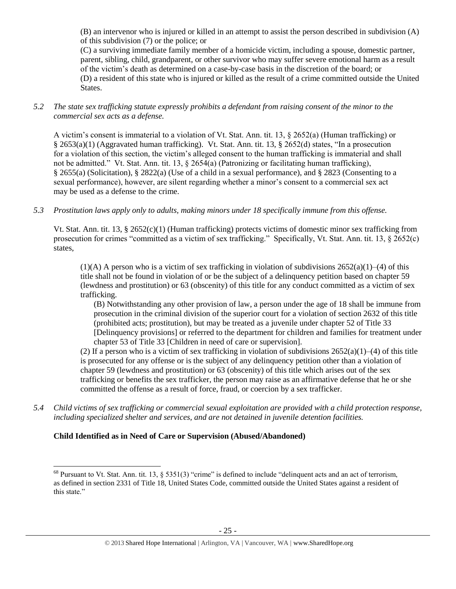(B) an intervenor who is injured or killed in an attempt to assist the person described in subdivision (A) of this subdivision (7) or the police; or

(C) a surviving immediate family member of a homicide victim, including a spouse, domestic partner, parent, sibling, child, grandparent, or other survivor who may suffer severe emotional harm as a result of the victim's death as determined on a case-by-case basis in the discretion of the board; or (D) a resident of this state who is injured or killed as the result of a crime committed outside the United States.

*5.2 The state sex trafficking statute expressly prohibits a defendant from raising consent of the minor to the commercial sex acts as a defense.*

A victim's consent is immaterial to a violation of Vt. Stat. Ann. tit. 13, § 2652(a) (Human trafficking) or § 2653(a)(1) (Aggravated human trafficking). Vt. Stat. Ann. tit. 13, § 2652(d) states, "In a prosecution for a violation of this section, the victim's alleged consent to the human trafficking is immaterial and shall not be admitted." Vt. Stat. Ann. tit. 13, § 2654(a) (Patronizing or facilitating human trafficking), § 2655(a) (Solicitation), § 2822(a) (Use of a child in a sexual performance), and § 2823 (Consenting to a sexual performance), however, are silent regarding whether a minor's consent to a commercial sex act may be used as a defense to the crime.

*5.3 Prostitution laws apply only to adults, making minors under 18 specifically immune from this offense.*

Vt. Stat. Ann. tit. 13, § 2652(c)(1) (Human trafficking) protects victims of domestic minor sex trafficking from prosecution for crimes "committed as a victim of sex trafficking." Specifically, Vt. Stat. Ann. tit. 13, § 2652(c) states,

 $(1)$ (A) A person who is a victim of sex trafficking in violation of subdivisions  $2652(a)(1)–(4)$  of this title shall not be found in violation of or be the subject of a delinquency petition based on chapter 59 (lewdness and prostitution) or 63 (obscenity) of this title for any conduct committed as a victim of sex trafficking.

(B) Notwithstanding any other provision of law, a person under the age of 18 shall be immune from prosecution in the criminal division of the superior court for a violation of section 2632 of this title (prohibited acts; prostitution), but may be treated as a juvenile under chapter 52 of Title 33 [Delinquency provisions] or referred to the department for children and families for treatment under chapter 53 of Title 33 [Children in need of care or supervision].

(2) If a person who is a victim of sex trafficking in violation of subdivisions  $2652(a)(1)–(4)$  of this title is prosecuted for any offense or is the subject of any delinquency petition other than a violation of chapter 59 (lewdness and prostitution) or 63 (obscenity) of this title which arises out of the sex trafficking or benefits the sex trafficker, the person may raise as an affirmative defense that he or she committed the offense as a result of force, fraud, or coercion by a sex trafficker.

*5.4 Child victims of sex trafficking or commercial sexual exploitation are provided with a child protection response, including specialized shelter and services, and are not detained in juvenile detention facilities.*

# **Child Identified as in Need of Care or Supervision (Abused/Abandoned)**

 $^{68}$  Pursuant to Vt. Stat. Ann. tit. 13, § 5351(3) "crime" is defined to include "delinquent acts and an act of terrorism, as defined in section 2331 of Title 18, United States Code, committed outside the United States against a resident of this state."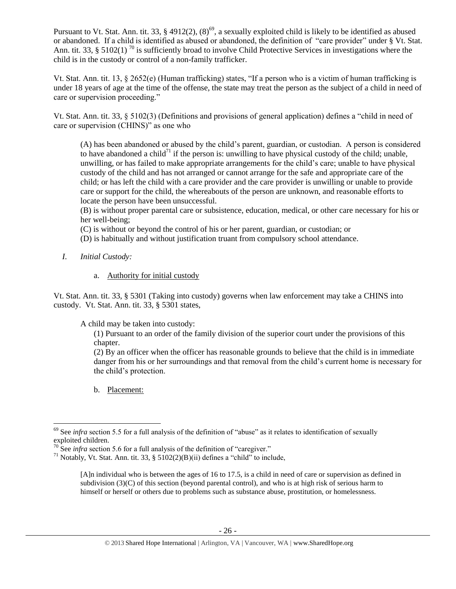Pursuant to Vt. Stat. Ann. tit. 33, § 4912(2),  $(8)^{69}$ , a sexually exploited child is likely to be identified as abused or abandoned. If a child is identified as abused or abandoned, the definition of "care provider" under § Vt. Stat. Ann. tit. 33, § 5102(1)<sup>70</sup> is sufficiently broad to involve Child Protective Services in investigations where the child is in the custody or control of a non-family trafficker.

Vt. Stat. Ann. tit. 13, § 2652(e) (Human trafficking) states, "If a person who is a victim of human trafficking is under 18 years of age at the time of the offense, the state may treat the person as the subject of a child in need of care or supervision proceeding."

Vt. Stat. Ann. tit. 33, § 5102(3) (Definitions and provisions of general application) defines a "child in need of care or supervision (CHINS)" as one who

(A) has been abandoned or abused by the child's parent, guardian, or custodian. A person is considered to have abandoned a child<sup>71</sup> if the person is: unwilling to have physical custody of the child; unable, unwilling, or has failed to make appropriate arrangements for the child's care; unable to have physical custody of the child and has not arranged or cannot arrange for the safe and appropriate care of the child; or has left the child with a care provider and the care provider is unwilling or unable to provide care or support for the child, the whereabouts of the person are unknown, and reasonable efforts to locate the person have been unsuccessful.

(B) is without proper parental care or subsistence, education, medical, or other care necessary for his or her well-being;

(C) is without or beyond the control of his or her parent, guardian, or custodian; or

(D) is habitually and without justification truant from compulsory school attendance.

- *I. Initial Custody:* 
	- a. Authority for initial custody

Vt. Stat. Ann. tit. 33, § 5301 (Taking into custody) governs when law enforcement may take a CHINS into custody. Vt. Stat. Ann. tit. 33, § 5301 states,

A child may be taken into custody:

(1) Pursuant to an order of the family division of the superior court under the provisions of this chapter.

(2) By an officer when the officer has reasonable grounds to believe that the child is in immediate danger from his or her surroundings and that removal from the child's current home is necessary for the child's protection.

b. Placement:

l

<sup>&</sup>lt;sup>69</sup> See *infra* section 5.5 for a full analysis of the definition of "abuse" as it relates to identification of sexually exploited children.

 $70$  See *infra* section 5.6 for a full analysis of the definition of "caregiver."

<sup>&</sup>lt;sup>71</sup> Notably, Vt. Stat. Ann. tit. 33, §  $5102(2)(B)(ii)$  defines a "child" to include,

<sup>[</sup>A]n individual who is between the ages of 16 to 17.5, is a child in need of care or supervision as defined in subdivision (3)(C) of this section (beyond parental control), and who is at high risk of serious harm to himself or herself or others due to problems such as substance abuse, prostitution, or homelessness.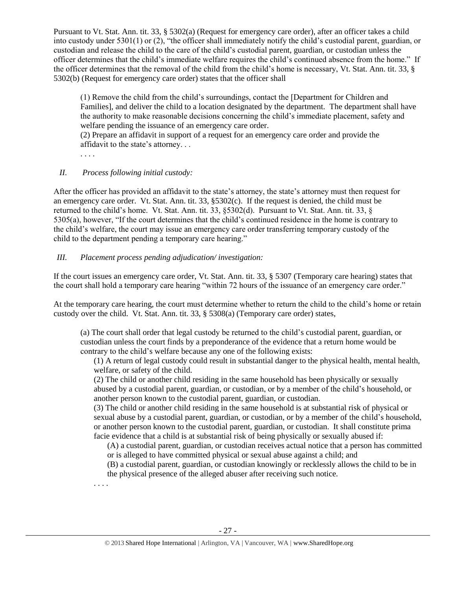Pursuant to Vt. Stat. Ann. tit. 33, § 5302(a) (Request for emergency care order), after an officer takes a child into custody under 5301(1) or (2), "the officer shall immediately notify the child's custodial parent, guardian, or custodian and release the child to the care of the child's custodial parent, guardian, or custodian unless the officer determines that the child's immediate welfare requires the child's continued absence from the home." If the officer determines that the removal of the child from the child's home is necessary, Vt. Stat. Ann. tit. 33, § 5302(b) (Request for emergency care order) states that the officer shall

(1) Remove the child from the child's surroundings, contact the [Department for Children and Families], and deliver the child to a location designated by the department. The department shall have the authority to make reasonable decisions concerning the child's immediate placement, safety and welfare pending the issuance of an emergency care order.

(2) Prepare an affidavit in support of a request for an emergency care order and provide the affidavit to the state's attorney. . .

. . . .

. . . .

# *II. Process following initial custody:*

After the officer has provided an affidavit to the state's attorney, the state's attorney must then request for an emergency care order. Vt. Stat. Ann. tit. 33, §5302(c). If the request is denied, the child must be returned to the child's home. Vt. Stat. Ann. tit. 33, §5302(d). Pursuant to Vt. Stat. Ann. tit. 33, § 5305(a), however, "If the court determines that the child's continued residence in the home is contrary to the child's welfare, the court may issue an emergency care order transferring temporary custody of the child to the department pending a temporary care hearing."

# *III. Placement process pending adjudication/ investigation:*

If the court issues an emergency care order, Vt. Stat. Ann. tit. 33, § 5307 (Temporary care hearing) states that the court shall hold a temporary care hearing "within 72 hours of the issuance of an emergency care order."

At the temporary care hearing, the court must determine whether to return the child to the child's home or retain custody over the child. Vt. Stat. Ann. tit. 33, § 5308(a) (Temporary care order) states,

(a) The court shall order that legal custody be returned to the child's custodial parent, guardian, or custodian unless the court finds by a preponderance of the evidence that a return home would be contrary to the child's welfare because any one of the following exists:

(1) A return of legal custody could result in substantial danger to the physical health, mental health, welfare, or safety of the child.

(2) The child or another child residing in the same household has been physically or sexually abused by a custodial parent, guardian, or custodian, or by a member of the child's household, or another person known to the custodial parent, guardian, or custodian.

(3) The child or another child residing in the same household is at substantial risk of physical or sexual abuse by a custodial parent, guardian, or custodian, or by a member of the child's household, or another person known to the custodial parent, guardian, or custodian. It shall constitute prima facie evidence that a child is at substantial risk of being physically or sexually abused if:

(A) a custodial parent, guardian, or custodian receives actual notice that a person has committed or is alleged to have committed physical or sexual abuse against a child; and

(B) a custodial parent, guardian, or custodian knowingly or recklessly allows the child to be in the physical presence of the alleged abuser after receiving such notice.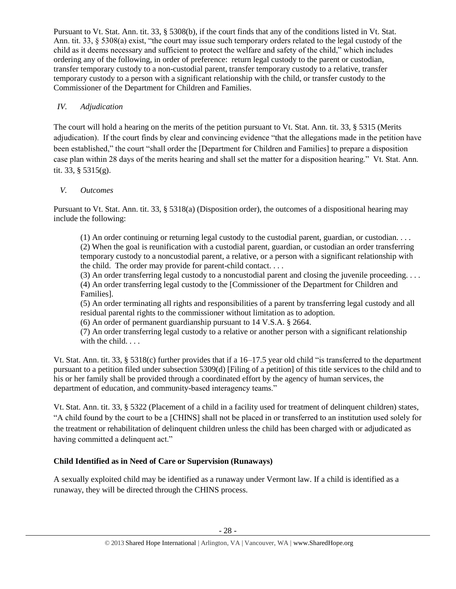Pursuant to Vt. Stat. Ann. tit. 33, § 5308(b), if the court finds that any of the conditions listed in Vt. Stat. Ann. tit. 33, § 5308(a) exist, "the court may issue such temporary orders related to the legal custody of the child as it deems necessary and sufficient to protect the welfare and safety of the child," which includes ordering any of the following, in order of preference: return legal custody to the parent or custodian, transfer temporary custody to a non-custodial parent, transfer temporary custody to a relative, transfer temporary custody to a person with a significant relationship with the child, or transfer custody to the Commissioner of the Department for Children and Families.

# *IV. Adjudication*

The court will hold a hearing on the merits of the petition pursuant to Vt. Stat. Ann. tit. 33, § 5315 (Merits adjudication). If the court finds by clear and convincing evidence "that the allegations made in the petition have been established," the court "shall order the [Department for Children and Families] to prepare a disposition case plan within 28 days of the merits hearing and shall set the matter for a disposition hearing." Vt. Stat. Ann. tit. 33, § 5315(g).

# *V. Outcomes*

Pursuant to Vt. Stat. Ann. tit. 33, § 5318(a) (Disposition order), the outcomes of a dispositional hearing may include the following:

(1) An order continuing or returning legal custody to the custodial parent, guardian, or custodian. . . . (2) When the goal is reunification with a custodial parent, guardian, or custodian an order transferring temporary custody to a noncustodial parent, a relative, or a person with a significant relationship with the child. The order may provide for parent-child contact. . . .

(3) An order transferring legal custody to a noncustodial parent and closing the juvenile proceeding.  $\dots$ (4) An order transferring legal custody to the [Commissioner of the Department for Children and Families].

(5) An order terminating all rights and responsibilities of a parent by transferring legal custody and all residual parental rights to the commissioner without limitation as to adoption.

(6) An order of permanent guardianship pursuant to 14 V.S.A. § 2664.

(7) An order transferring legal custody to a relative or another person with a significant relationship with the child. . . .

Vt. Stat. Ann. tit. 33, § 5318(c) further provides that if a 16–17.5 year old child "is transferred to the department pursuant to a petition filed under subsection 5309(d) [Filing of a petition] of this title services to the child and to his or her family shall be provided through a coordinated effort by the agency of human services, the department of education, and community-based interagency teams."

Vt. Stat. Ann. tit. 33, § 5322 (Placement of a child in a facility used for treatment of delinquent children) states, "A child found by the court to be a [CHINS] shall not be placed in or transferred to an institution used solely for the treatment or rehabilitation of delinquent children unless the child has been charged with or adjudicated as having committed a delinquent act."

# **Child Identified as in Need of Care or Supervision (Runaways)**

A sexually exploited child may be identified as a runaway under Vermont law. If a child is identified as a runaway, they will be directed through the CHINS process.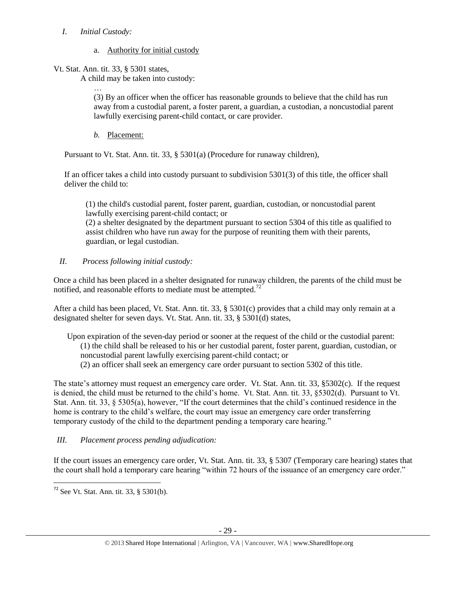# *I. Initial Custody:*

# a. Authority for initial custody

Vt. Stat. Ann. tit. 33, § 5301 states,

A child may be taken into custody:

… (3) By an officer when the officer has reasonable grounds to believe that the child has run away from a custodial parent, a foster parent, a guardian, a custodian, a noncustodial parent lawfully exercising parent-child contact, or care provider.

*b.* Placement:

Pursuant to Vt. Stat. Ann. tit. 33, § 5301(a) (Procedure for runaway children),

If an officer takes a child into custody pursuant to subdivision 5301(3) of this title, the officer shall deliver the child to:

(1) the child's custodial parent, foster parent, guardian, custodian, or noncustodial parent lawfully exercising parent-child contact; or

(2) a shelter designated by the department pursuant to section 5304 of this title as qualified to assist children who have run away for the purpose of reuniting them with their parents, guardian, or legal custodian.

# *II. Process following initial custody:*

Once a child has been placed in a shelter designated for runaway children, the parents of the child must be notified, and reasonable efforts to mediate must be attempted.<sup>72</sup>

After a child has been placed, Vt. Stat. Ann. tit. 33, § 5301(c) provides that a child may only remain at a designated shelter for seven days. Vt. Stat. Ann. tit. 33, § 5301(d) states,

Upon expiration of the seven-day period or sooner at the request of the child or the custodial parent: (1) the child shall be released to his or her custodial parent, foster parent, guardian, custodian, or noncustodial parent lawfully exercising parent-child contact; or (2) an officer shall seek an emergency care order pursuant to section 5302 of this title.

The state's attorney must request an emergency care order. Vt. Stat. Ann. tit. 33, §5302(c). If the request is denied, the child must be returned to the child's home. Vt. Stat. Ann. tit. 33, §5302(d). Pursuant to Vt. Stat. Ann. tit. 33, § 5305(a), however, "If the court determines that the child's continued residence in the home is contrary to the child's welfare, the court may issue an emergency care order transferring temporary custody of the child to the department pending a temporary care hearing."

# *III. Placement process pending adjudication:*

If the court issues an emergency care order, Vt. Stat. Ann. tit. 33, § 5307 (Temporary care hearing) states that the court shall hold a temporary care hearing "within 72 hours of the issuance of an emergency care order."

 $\overline{a}$  $72$  See Vt. Stat. Ann. tit. 33, § 5301(b).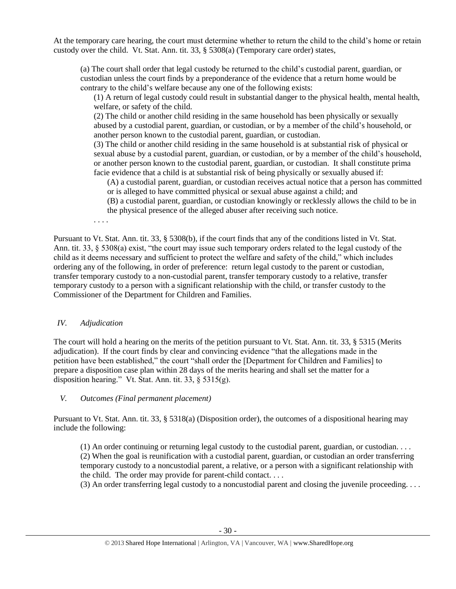At the temporary care hearing, the court must determine whether to return the child to the child's home or retain custody over the child. Vt. Stat. Ann. tit. 33, § 5308(a) (Temporary care order) states,

(a) The court shall order that legal custody be returned to the child's custodial parent, guardian, or custodian unless the court finds by a preponderance of the evidence that a return home would be contrary to the child's welfare because any one of the following exists:

(1) A return of legal custody could result in substantial danger to the physical health, mental health, welfare, or safety of the child.

(2) The child or another child residing in the same household has been physically or sexually abused by a custodial parent, guardian, or custodian, or by a member of the child's household, or another person known to the custodial parent, guardian, or custodian.

(3) The child or another child residing in the same household is at substantial risk of physical or sexual abuse by a custodial parent, guardian, or custodian, or by a member of the child's household, or another person known to the custodial parent, guardian, or custodian. It shall constitute prima facie evidence that a child is at substantial risk of being physically or sexually abused if:

(A) a custodial parent, guardian, or custodian receives actual notice that a person has committed or is alleged to have committed physical or sexual abuse against a child; and

(B) a custodial parent, guardian, or custodian knowingly or recklessly allows the child to be in the physical presence of the alleged abuser after receiving such notice.

. . . .

Pursuant to Vt. Stat. Ann. tit. 33, § 5308(b), if the court finds that any of the conditions listed in Vt. Stat. Ann. tit. 33, § 5308(a) exist, "the court may issue such temporary orders related to the legal custody of the child as it deems necessary and sufficient to protect the welfare and safety of the child," which includes ordering any of the following, in order of preference: return legal custody to the parent or custodian, transfer temporary custody to a non-custodial parent, transfer temporary custody to a relative, transfer temporary custody to a person with a significant relationship with the child, or transfer custody to the Commissioner of the Department for Children and Families.

# *IV. Adjudication*

The court will hold a hearing on the merits of the petition pursuant to Vt. Stat. Ann. tit. 33, § 5315 (Merits adjudication). If the court finds by clear and convincing evidence "that the allegations made in the petition have been established," the court "shall order the [Department for Children and Families] to prepare a disposition case plan within 28 days of the merits hearing and shall set the matter for a disposition hearing." Vt. Stat. Ann. tit. 33, § 5315(g).

# *V. Outcomes (Final permanent placement)*

Pursuant to Vt. Stat. Ann. tit. 33, § 5318(a) (Disposition order), the outcomes of a dispositional hearing may include the following:

(1) An order continuing or returning legal custody to the custodial parent, guardian, or custodian. . . . (2) When the goal is reunification with a custodial parent, guardian, or custodian an order transferring temporary custody to a noncustodial parent, a relative, or a person with a significant relationship with the child. The order may provide for parent-child contact. . . .

(3) An order transferring legal custody to a noncustodial parent and closing the juvenile proceeding. . . .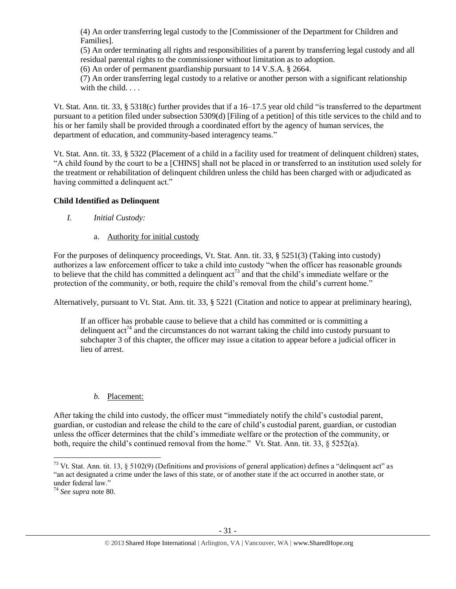(4) An order transferring legal custody to the [Commissioner of the Department for Children and Families].

(5) An order terminating all rights and responsibilities of a parent by transferring legal custody and all residual parental rights to the commissioner without limitation as to adoption.

(6) An order of permanent guardianship pursuant to 14 V.S.A. § 2664.

(7) An order transferring legal custody to a relative or another person with a significant relationship with the child. . . .

Vt. Stat. Ann. tit. 33, § 5318(c) further provides that if a 16–17.5 year old child "is transferred to the department pursuant to a petition filed under subsection 5309(d) [Filing of a petition] of this title services to the child and to his or her family shall be provided through a coordinated effort by the agency of human services, the department of education, and community-based interagency teams."

Vt. Stat. Ann. tit. 33, § 5322 (Placement of a child in a facility used for treatment of delinquent children) states, "A child found by the court to be a [CHINS] shall not be placed in or transferred to an institution used solely for the treatment or rehabilitation of delinquent children unless the child has been charged with or adjudicated as having committed a delinquent act."

# **Child Identified as Delinquent**

- *I. Initial Custody:* 
	- a. Authority for initial custody

For the purposes of delinquency proceedings, Vt. Stat. Ann. tit. 33, § 5251(3) (Taking into custody) authorizes a law enforcement officer to take a child into custody "when the officer has reasonable grounds to believe that the child has committed a delinquent  $\arctan^{73}$  and that the child's immediate welfare or the protection of the community, or both, require the child's removal from the child's current home."

Alternatively, pursuant to Vt. Stat. Ann. tit. 33, § 5221 (Citation and notice to appear at preliminary hearing),

If an officer has probable cause to believe that a child has committed or is committing a delinquent  $\arctan{74}$  and the circumstances do not warrant taking the child into custody pursuant to subchapter 3 of this chapter, the officer may issue a citation to appear before a judicial officer in lieu of arrest.

# *b.* Placement:

After taking the child into custody, the officer must "immediately notify the child's custodial parent, guardian, or custodian and release the child to the care of child's custodial parent, guardian, or custodian unless the officer determines that the child's immediate welfare or the protection of the community, or both, require the child's continued removal from the home." Vt. Stat. Ann. tit. 33, § 5252(a).

 $\overline{\phantom{a}}$ <sup>73</sup> Vt. Stat. Ann. tit. 13, § 5102(9) (Definitions and provisions of general application) defines a "delinquent act" as "an act designated a crime under the laws of this state, or of another state if the act occurred in another state, or under federal law."

<sup>74</sup> *See supra* note 80.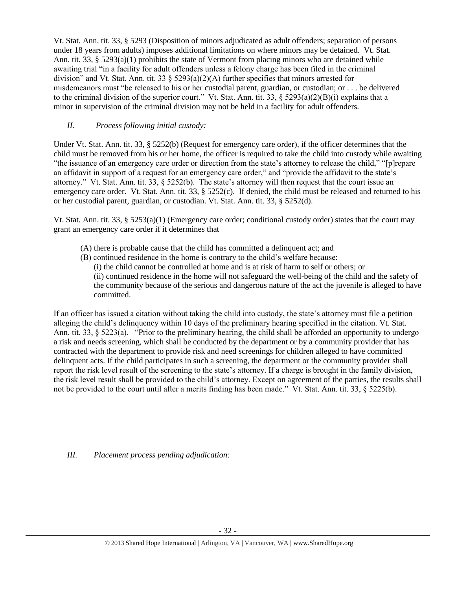Vt. Stat. Ann. tit. 33, § 5293 (Disposition of minors adjudicated as adult offenders; separation of persons under 18 years from adults) imposes additional limitations on where minors may be detained. Vt. Stat. Ann. tit. 33, § 5293(a)(1) prohibits the state of Vermont from placing minors who are detained while awaiting trial "in a facility for adult offenders unless a felony charge has been filed in the criminal division" and Vt. Stat. Ann. tit. 33  $\S 5293(a)(2)(A)$  further specifies that minors arrested for misdemeanors must "be released to his or her custodial parent, guardian, or custodian; or . . . be delivered to the criminal division of the superior court." Vt. Stat. Ann. tit. 33, § 5293(a)(2)(B)(i) explains that a minor in supervision of the criminal division may not be held in a facility for adult offenders.

### *II. Process following initial custody:*

Under Vt. Stat. Ann. tit. 33, § 5252(b) (Request for emergency care order), if the officer determines that the child must be removed from his or her home, the officer is required to take the child into custody while awaiting "the issuance of an emergency care order or direction from the state's attorney to release the child," "[p]repare an affidavit in support of a request for an emergency care order," and "provide the affidavit to the state's attorney." Vt. Stat. Ann. tit. 33, § 5252(b). The state's attorney will then request that the court issue an emergency care order. Vt. Stat. Ann. tit. 33, § 5252(c). If denied, the child must be released and returned to his or her custodial parent, guardian, or custodian. Vt. Stat. Ann. tit. 33, § 5252(d).

Vt. Stat. Ann. tit. 33, §  $5253(a)(1)$  (Emergency care order; conditional custody order) states that the court may grant an emergency care order if it determines that

- (A) there is probable cause that the child has committed a delinquent act; and
- (B) continued residence in the home is contrary to the child's welfare because:
	- (i) the child cannot be controlled at home and is at risk of harm to self or others; or

(ii) continued residence in the home will not safeguard the well-being of the child and the safety of the community because of the serious and dangerous nature of the act the juvenile is alleged to have committed.

If an officer has issued a citation without taking the child into custody, the state's attorney must file a petition alleging the child's delinquency within 10 days of the preliminary hearing specified in the citation. Vt. Stat. Ann. tit. 33,  $\S 5223(a)$ . "Prior to the preliminary hearing, the child shall be afforded an opportunity to undergo a risk and needs screening, which shall be conducted by the department or by a community provider that has contracted with the department to provide risk and need screenings for children alleged to have committed delinquent acts. If the child participates in such a screening, the department or the community provider shall report the risk level result of the screening to the state's attorney. If a charge is brought in the family division, the risk level result shall be provided to the child's attorney. Except on agreement of the parties, the results shall not be provided to the court until after a merits finding has been made." Vt. Stat. Ann. tit. 33, § 5225(b).

*III. Placement process pending adjudication:*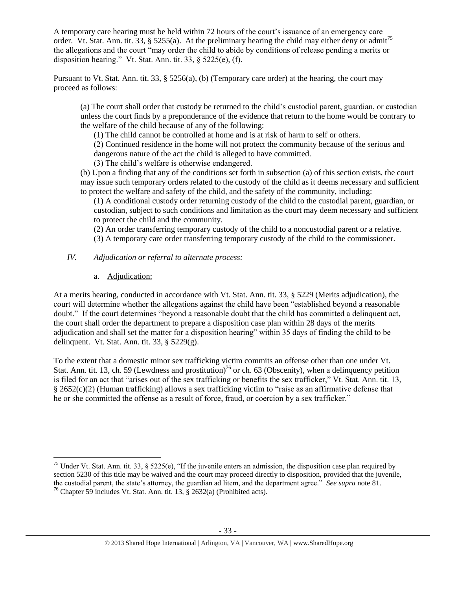A temporary care hearing must be held within 72 hours of the court's issuance of an emergency care order. Vt. Stat. Ann. tit. 33, § 5255(a). At the preliminary hearing the child may either deny or admit<sup>75</sup> the allegations and the court "may order the child to abide by conditions of release pending a merits or disposition hearing." Vt. Stat. Ann. tit. 33,  $\S$  5225(e), (f).

Pursuant to Vt. Stat. Ann. tit. 33, § 5256(a), (b) (Temporary care order) at the hearing, the court may proceed as follows:

(a) The court shall order that custody be returned to the child's custodial parent, guardian, or custodian unless the court finds by a preponderance of the evidence that return to the home would be contrary to the welfare of the child because of any of the following:

(1) The child cannot be controlled at home and is at risk of harm to self or others.

(2) Continued residence in the home will not protect the community because of the serious and dangerous nature of the act the child is alleged to have committed.

(3) The child's welfare is otherwise endangered.

(b) Upon a finding that any of the conditions set forth in subsection (a) of this section exists, the court may issue such temporary orders related to the custody of the child as it deems necessary and sufficient to protect the welfare and safety of the child, and the safety of the community, including:

(1) A conditional custody order returning custody of the child to the custodial parent, guardian, or custodian, subject to such conditions and limitation as the court may deem necessary and sufficient to protect the child and the community.

(2) An order transferring temporary custody of the child to a noncustodial parent or a relative.

(3) A temporary care order transferring temporary custody of the child to the commissioner.

- *IV. Adjudication or referral to alternate process:*
	- a. Adjudication:

At a merits hearing, conducted in accordance with Vt. Stat. Ann. tit. 33, § 5229 (Merits adjudication), the court will determine whether the allegations against the child have been "established beyond a reasonable doubt." If the court determines "beyond a reasonable doubt that the child has committed a delinquent act, the court shall order the department to prepare a disposition case plan within 28 days of the merits adjudication and shall set the matter for a disposition hearing" within 35 days of finding the child to be delinquent. Vt. Stat. Ann. tit. 33, § 5229(g).

To the extent that a domestic minor sex trafficking victim commits an offense other than one under Vt. Stat. Ann. tit. 13, ch. 59 (Lewdness and prostitution)<sup>76</sup> or ch. 63 (Obscenity), when a delinquency petition is filed for an act that "arises out of the sex trafficking or benefits the sex trafficker," Vt. Stat. Ann. tit. 13, § 2652(c)(2) (Human trafficking) allows a sex trafficking victim to "raise as an affirmative defense that he or she committed the offense as a result of force, fraud, or coercion by a sex trafficker."

 $\overline{\phantom{a}}$ <sup>75</sup> Under Vt. Stat. Ann. tit. 33, § 5225(e), "If the juvenile enters an admission, the disposition case plan required by section 5230 of this title may be waived and the court may proceed directly to disposition, provided that the juvenile, the custodial parent, the state's attorney, the guardian ad litem, and the department agree." *See supra* note 81. <sup>76</sup> Chapter 59 includes Vt. Stat. Ann. tit. 13,  $\S$  2632(a) (Prohibited acts).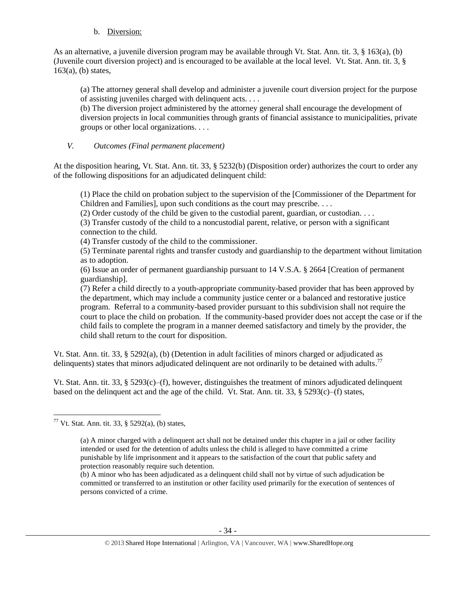### b. Diversion:

As an alternative, a juvenile diversion program may be available through Vt. Stat. Ann. tit. 3, § 163(a), (b) (Juvenile court diversion project) and is encouraged to be available at the local level. Vt. Stat. Ann. tit. 3, §  $163(a)$ , (b) states,

(a) The attorney general shall develop and administer a juvenile court diversion project for the purpose of assisting juveniles charged with delinquent acts. . . .

(b) The diversion project administered by the attorney general shall encourage the development of diversion projects in local communities through grants of financial assistance to municipalities, private groups or other local organizations. . . .

### *V. Outcomes (Final permanent placement)*

At the disposition hearing, Vt. Stat. Ann. tit. 33, § 5232(b) (Disposition order) authorizes the court to order any of the following dispositions for an adjudicated delinquent child:

(1) Place the child on probation subject to the supervision of the [Commissioner of the Department for Children and Families], upon such conditions as the court may prescribe. . . .

(2) Order custody of the child be given to the custodial parent, guardian, or custodian. . . .

(3) Transfer custody of the child to a noncustodial parent, relative, or person with a significant connection to the child.

(4) Transfer custody of the child to the commissioner.

(5) Terminate parental rights and transfer custody and guardianship to the department without limitation as to adoption.

(6) Issue an order of permanent guardianship pursuant to 14 V.S.A. § 2664 [Creation of permanent guardianship].

(7) Refer a child directly to a youth-appropriate community-based provider that has been approved by the department, which may include a community justice center or a balanced and restorative justice program. Referral to a community-based provider pursuant to this subdivision shall not require the court to place the child on probation. If the community-based provider does not accept the case or if the child fails to complete the program in a manner deemed satisfactory and timely by the provider, the child shall return to the court for disposition.

Vt. Stat. Ann. tit. 33, § 5292(a), (b) (Detention in adult facilities of minors charged or adjudicated as delinquents) states that minors adjudicated delinquent are not ordinarily to be detained with adults.<sup>77</sup>

Vt. Stat. Ann. tit. 33, § 5293(c)–(f), however, distinguishes the treatment of minors adjudicated delinquent based on the delinquent act and the age of the child. Vt. Stat. Ann. tit. 33, § 5293(c)–(f) states,

 $\overline{\phantom{a}}$ <sup>77</sup> Vt. Stat. Ann. tit. 33, § 5292(a), (b) states,

<sup>(</sup>a) A minor charged with a delinquent act shall not be detained under this chapter in a jail or other facility intended or used for the detention of adults unless the child is alleged to have committed a crime punishable by life imprisonment and it appears to the satisfaction of the court that public safety and protection reasonably require such detention.

<sup>(</sup>b) A minor who has been adjudicated as a delinquent child shall not by virtue of such adjudication be committed or transferred to an institution or other facility used primarily for the execution of sentences of persons convicted of a crime.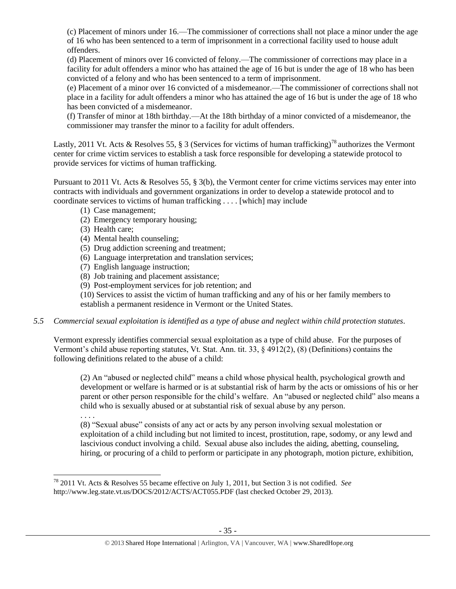(c) Placement of minors under 16.—The commissioner of corrections shall not place a minor under the age of 16 who has been sentenced to a term of imprisonment in a correctional facility used to house adult offenders.

(d) Placement of minors over 16 convicted of felony.—The commissioner of corrections may place in a facility for adult offenders a minor who has attained the age of 16 but is under the age of 18 who has been convicted of a felony and who has been sentenced to a term of imprisonment.

(e) Placement of a minor over 16 convicted of a misdemeanor.—The commissioner of corrections shall not place in a facility for adult offenders a minor who has attained the age of 16 but is under the age of 18 who has been convicted of a misdemeanor.

(f) Transfer of minor at 18th birthday.—At the 18th birthday of a minor convicted of a misdemeanor, the commissioner may transfer the minor to a facility for adult offenders.

Lastly, 2011 Vt. Acts & Resolves 55, § 3 (Services for victims of human trafficking)<sup>78</sup> authorizes the Vermont center for crime victim services to establish a task force responsible for developing a statewide protocol to provide services for victims of human trafficking.

Pursuant to 2011 Vt. Acts & Resolves 55, § 3(b), the Vermont center for crime victims services may enter into contracts with individuals and government organizations in order to develop a statewide protocol and to coordinate services to victims of human trafficking . . . . [which] may include

- (1) Case management;
- (2) Emergency temporary housing;
- (3) Health care;
- (4) Mental health counseling;
- (5) Drug addiction screening and treatment;
- (6) Language interpretation and translation services;
- (7) English language instruction;
- (8) Job training and placement assistance;
- (9) Post-employment services for job retention; and

(10) Services to assist the victim of human trafficking and any of his or her family members to establish a permanent residence in Vermont or the United States.

*5.5 Commercial sexual exploitation is identified as a type of abuse and neglect within child protection statutes.*

Vermont expressly identifies commercial sexual exploitation as a type of child abuse. For the purposes of Vermont's child abuse reporting statutes, Vt. Stat. Ann. tit. 33, § 4912(2), (8) (Definitions) contains the following definitions related to the abuse of a child:

(2) An "abused or neglected child" means a child whose physical health, psychological growth and development or welfare is harmed or is at substantial risk of harm by the acts or omissions of his or her parent or other person responsible for the child's welfare. An "abused or neglected child" also means a child who is sexually abused or at substantial risk of sexual abuse by any person.

. . . .

l

(8) "Sexual abuse" consists of any act or acts by any person involving sexual molestation or exploitation of a child including but not limited to incest, prostitution, rape, sodomy, or any lewd and lascivious conduct involving a child. Sexual abuse also includes the aiding, abetting, counseling, hiring, or procuring of a child to perform or participate in any photograph, motion picture, exhibition,

<sup>78</sup> 2011 Vt. Acts & Resolves 55 became effective on July 1, 2011, but Section 3 is not codified. *See* http://www.leg.state.vt.us/DOCS/2012/ACTS/ACT055.PDF (last checked October 29, 2013).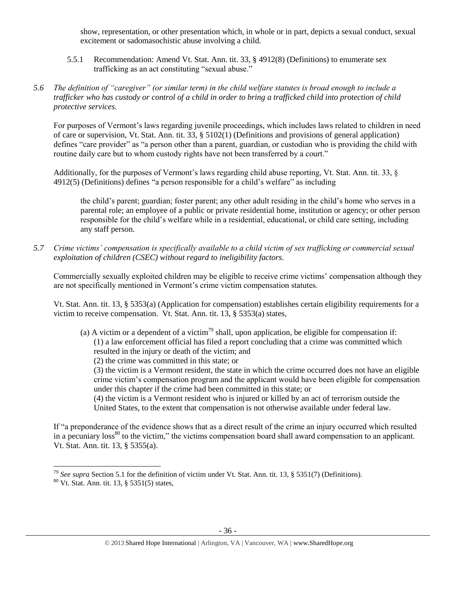show, representation, or other presentation which, in whole or in part, depicts a sexual conduct, sexual excitement or sadomasochistic abuse involving a child.

- 5.5.1 Recommendation: Amend Vt. Stat. Ann. tit. 33, § 4912(8) (Definitions) to enumerate sex trafficking as an act constituting "sexual abuse."
- *5.6 The definition of "caregiver" (or similar term) in the child welfare statutes is broad enough to include a trafficker who has custody or control of a child in order to bring a trafficked child into protection of child protective services.*

For purposes of Vermont's laws regarding juvenile proceedings, which includes laws related to children in need of care or supervision, Vt. Stat. Ann. tit. 33, § 5102(1) (Definitions and provisions of general application) defines "care provider" as "a person other than a parent, guardian, or custodian who is providing the child with routine daily care but to whom custody rights have not been transferred by a court."

Additionally, for the purposes of Vermont's laws regarding child abuse reporting, Vt. Stat. Ann. tit. 33, § 4912(5) (Definitions) defines "a person responsible for a child's welfare" as including

the child's parent; guardian; foster parent; any other adult residing in the child's home who serves in a parental role; an employee of a public or private residential home, institution or agency; or other person responsible for the child's welfare while in a residential, educational, or child care setting, including any staff person.

*5.7 Crime victims' compensation is specifically available to a child victim of sex trafficking or commercial sexual exploitation of children (CSEC) without regard to ineligibility factors.*

Commercially sexually exploited children may be eligible to receive crime victims' compensation although they are not specifically mentioned in Vermont's crime victim compensation statutes.

Vt. Stat. Ann. tit. 13, § 5353(a) (Application for compensation) establishes certain eligibility requirements for a victim to receive compensation. Vt. Stat. Ann. tit. 13, § 5353(a) states,

- (a) A victim or a dependent of a victim<sup>79</sup> shall, upon application, be eligible for compensation if: (1) a law enforcement official has filed a report concluding that a crime was committed which resulted in the injury or death of the victim; and
	- (2) the crime was committed in this state; or

(3) the victim is a Vermont resident, the state in which the crime occurred does not have an eligible crime victim's compensation program and the applicant would have been eligible for compensation under this chapter if the crime had been committed in this state; or

(4) the victim is a Vermont resident who is injured or killed by an act of terrorism outside the United States, to the extent that compensation is not otherwise available under federal law.

If "a preponderance of the evidence shows that as a direct result of the crime an injury occurred which resulted in a pecuniary loss<sup>80</sup> to the victim," the victims compensation board shall award compensation to an applicant. Vt. Stat. Ann. tit. 13, § 5355(a).

<sup>79</sup> *See supra* Section 5.1 for the definition of victim under Vt. Stat. Ann. tit. 13, § 5351(7) (Definitions).

<sup>80</sup> Vt. Stat. Ann. tit. 13, § 5351(5) states,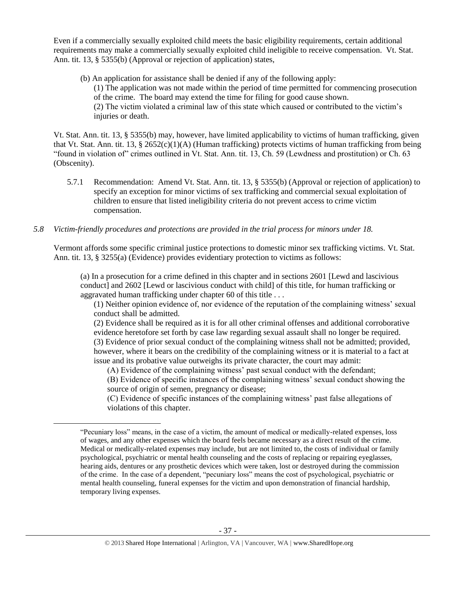Even if a commercially sexually exploited child meets the basic eligibility requirements, certain additional requirements may make a commercially sexually exploited child ineligible to receive compensation. Vt. Stat. Ann. tit. 13, § 5355(b) (Approval or rejection of application) states,

(b) An application for assistance shall be denied if any of the following apply: (1) The application was not made within the period of time permitted for commencing prosecution of the crime. The board may extend the time for filing for good cause shown. (2) The victim violated a criminal law of this state which caused or contributed to the victim's injuries or death.

Vt. Stat. Ann. tit. 13, § 5355(b) may, however, have limited applicability to victims of human trafficking, given that Vt. Stat. Ann. tit. 13, § 2652(c)(1)(A) (Human trafficking) protects victims of human trafficking from being "found in violation of" crimes outlined in Vt. Stat. Ann. tit. 13, Ch. 59 (Lewdness and prostitution) or Ch. 63 (Obscenity).

5.7.1 Recommendation: Amend Vt. Stat. Ann. tit. 13, § 5355(b) (Approval or rejection of application) to specify an exception for minor victims of sex trafficking and commercial sexual exploitation of children to ensure that listed ineligibility criteria do not prevent access to crime victim compensation.

# *5.8 Victim-friendly procedures and protections are provided in the trial process for minors under 18.*

l

Vermont affords some specific criminal justice protections to domestic minor sex trafficking victims. Vt. Stat. Ann. tit. 13, § 3255(a) (Evidence) provides evidentiary protection to victims as follows:

(a) In a prosecution for a crime defined in this chapter and in sections 2601 [Lewd and lascivious conduct] and 2602 [Lewd or lascivious conduct with child] of this title, for human trafficking or aggravated human trafficking under chapter 60 of this title . . .

(1) Neither opinion evidence of, nor evidence of the reputation of the complaining witness' sexual conduct shall be admitted.

(2) Evidence shall be required as it is for all other criminal offenses and additional corroborative evidence heretofore set forth by case law regarding sexual assault shall no longer be required. (3) Evidence of prior sexual conduct of the complaining witness shall not be admitted; provided, however, where it bears on the credibility of the complaining witness or it is material to a fact at issue and its probative value outweighs its private character, the court may admit:

(A) Evidence of the complaining witness' past sexual conduct with the defendant;

(B) Evidence of specific instances of the complaining witness' sexual conduct showing the source of origin of semen, pregnancy or disease;

(C) Evidence of specific instances of the complaining witness' past false allegations of violations of this chapter.

<sup>&</sup>quot;Pecuniary loss" means, in the case of a victim, the amount of medical or medically-related expenses, loss of wages, and any other expenses which the board feels became necessary as a direct result of the crime. Medical or medically-related expenses may include, but are not limited to, the costs of individual or family psychological, psychiatric or mental health counseling and the costs of replacing or repairing eyeglasses, hearing aids, dentures or any prosthetic devices which were taken, lost or destroyed during the commission of the crime. In the case of a dependent, "pecuniary loss" means the cost of psychological, psychiatric or mental health counseling, funeral expenses for the victim and upon demonstration of financial hardship, temporary living expenses.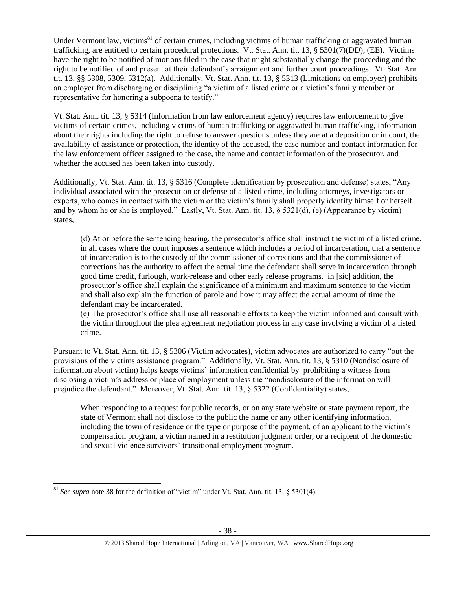Under Vermont law, victims<sup>81</sup> of certain crimes, including victims of human trafficking or aggravated human trafficking, are entitled to certain procedural protections. Vt. Stat. Ann. tit. 13, § 5301(7)(DD), (EE). Victims have the right to be notified of motions filed in the case that might substantially change the proceeding and the right to be notified of and present at their defendant's arraignment and further court proceedings. Vt. Stat. Ann. tit. 13, §§ 5308, 5309, 5312(a). Additionally, Vt. Stat. Ann. tit. 13, § 5313 (Limitations on employer) prohibits an employer from discharging or disciplining "a victim of a listed crime or a victim's family member or representative for honoring a subpoena to testify."

Vt. Stat. Ann. tit. 13, § 5314 (Information from law enforcement agency) requires law enforcement to give victims of certain crimes, including victims of human trafficking or aggravated human trafficking, information about their rights including the right to refuse to answer questions unless they are at a deposition or in court, the availability of assistance or protection, the identity of the accused, the case number and contact information for the law enforcement officer assigned to the case, the name and contact information of the prosecutor, and whether the accused has been taken into custody.

Additionally, Vt. Stat. Ann. tit. 13, § 5316 (Complete identification by prosecution and defense) states, "Any individual associated with the prosecution or defense of a listed crime, including attorneys, investigators or experts, who comes in contact with the victim or the victim's family shall properly identify himself or herself and by whom he or she is employed." Lastly, Vt. Stat. Ann. tit. 13, § 5321(d), (e) (Appearance by victim) states,

(d) At or before the sentencing hearing, the prosecutor's office shall instruct the victim of a listed crime, in all cases where the court imposes a sentence which includes a period of incarceration, that a sentence of incarceration is to the custody of the commissioner of corrections and that the commissioner of corrections has the authority to affect the actual time the defendant shall serve in incarceration through good time credit, furlough, work-release and other early release programs. in [sic] addition, the prosecutor's office shall explain the significance of a minimum and maximum sentence to the victim and shall also explain the function of parole and how it may affect the actual amount of time the defendant may be incarcerated.

(e) The prosecutor's office shall use all reasonable efforts to keep the victim informed and consult with the victim throughout the plea agreement negotiation process in any case involving a victim of a listed crime.

Pursuant to Vt. Stat. Ann. tit. 13, § 5306 (Victim advocates), victim advocates are authorized to carry "out the provisions of the victims assistance program." Additionally, Vt. Stat. Ann. tit. 13, § 5310 (Nondisclosure of information about victim) helps keeps victims' information confidential by prohibiting a witness from disclosing a victim's address or place of employment unless the "nondisclosure of the information will prejudice the defendant." Moreover, Vt. Stat. Ann. tit. 13, § 5322 (Confidentiality) states,

When responding to a request for public records, or on any state website or state payment report, the state of Vermont shall not disclose to the public the name or any other identifying information, including the town of residence or the type or purpose of the payment, of an applicant to the victim's compensation program, a victim named in a restitution judgment order, or a recipient of the domestic and sexual violence survivors' transitional employment program.

 $\overline{a}$ <sup>81</sup> *See supra* note [38](#page-10-0) for the definition of "victim" under Vt. Stat. Ann. tit. 13,  $\S$  5301(4).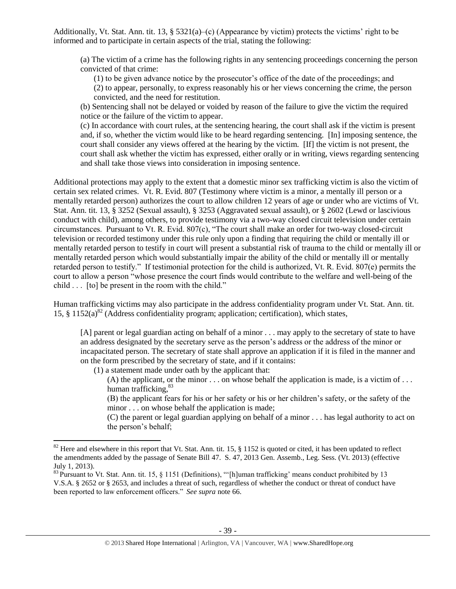Additionally, Vt. Stat. Ann. tit. 13, § 5321(a)–(c) (Appearance by victim) protects the victims' right to be informed and to participate in certain aspects of the trial, stating the following:

(a) The victim of a crime has the following rights in any sentencing proceedings concerning the person convicted of that crime:

(1) to be given advance notice by the prosecutor's office of the date of the proceedings; and (2) to appear, personally, to express reasonably his or her views concerning the crime, the person

convicted, and the need for restitution.

(b) Sentencing shall not be delayed or voided by reason of the failure to give the victim the required notice or the failure of the victim to appear.

(c) In accordance with court rules, at the sentencing hearing, the court shall ask if the victim is present and, if so, whether the victim would like to be heard regarding sentencing. [In] imposing sentence, the court shall consider any views offered at the hearing by the victim. [If] the victim is not present, the court shall ask whether the victim has expressed, either orally or in writing, views regarding sentencing and shall take those views into consideration in imposing sentence.

Additional protections may apply to the extent that a domestic minor sex trafficking victim is also the victim of certain sex related crimes. Vt. R. Evid. 807 (Testimony where victim is a minor, a mentally ill person or a mentally retarded person) authorizes the court to allow children 12 years of age or under who are victims of Vt. Stat. Ann. tit. 13, § 3252 (Sexual assault), § 3253 (Aggravated sexual assault), or § 2602 (Lewd or lascivious conduct with child), among others, to provide testimony via a two-way closed circuit television under certain circumstances. Pursuant to Vt. R. Evid. 807(c), "The court shall make an order for two-way closed-circuit television or recorded testimony under this rule only upon a finding that requiring the child or mentally ill or mentally retarded person to testify in court will present a substantial risk of trauma to the child or mentally ill or mentally retarded person which would substantially impair the ability of the child or mentally ill or mentally retarded person to testify." If testimonial protection for the child is authorized, Vt. R. Evid. 807(e) permits the court to allow a person "whose presence the court finds would contribute to the welfare and well-being of the child . . . [to] be present in the room with the child."

Human trafficking victims may also participate in the address confidentiality program under Vt. Stat. Ann. tit. 15, § 1152(a)<sup>82</sup> (Address confidentiality program; application; certification), which states,

[A] parent or legal guardian acting on behalf of a minor . . . may apply to the secretary of state to have an address designated by the secretary serve as the person's address or the address of the minor or incapacitated person. The secretary of state shall approve an application if it is filed in the manner and on the form prescribed by the secretary of state, and if it contains:

(1) a statement made under oath by the applicant that:

 $\overline{\phantom{a}}$ 

(A) the applicant, or the minor  $\ldots$  on whose behalf the application is made, is a victim of  $\ldots$ human trafficking,<sup>83</sup>

(B) the applicant fears for his or her safety or his or her children's safety, or the safety of the minor . . . on whose behalf the application is made;

(C) the parent or legal guardian applying on behalf of a minor . . . has legal authority to act on the person's behalf;

 $82$  Here and elsewhere in this report that Vt. Stat. Ann. tit. 15, § 1152 is quoted or cited, it has been updated to reflect the amendments added by the passage of Senate Bill 47. S. 47, 2013 Gen. Assemb., Leg. Sess. (Vt. 2013) (effective July 1, 2013).

<sup>&</sup>lt;sup>83</sup> Pursuant to Vt. Stat. Ann. tit. 15, § 1151 (Definitions), "'[h]uman trafficking' means conduct prohibited by 13 V.S.A. § 2652 or § 2653, and includes a threat of such, regardless of whether the conduct or threat of conduct have been reported to law enforcement officers." *See supra* note [66.](#page-23-0)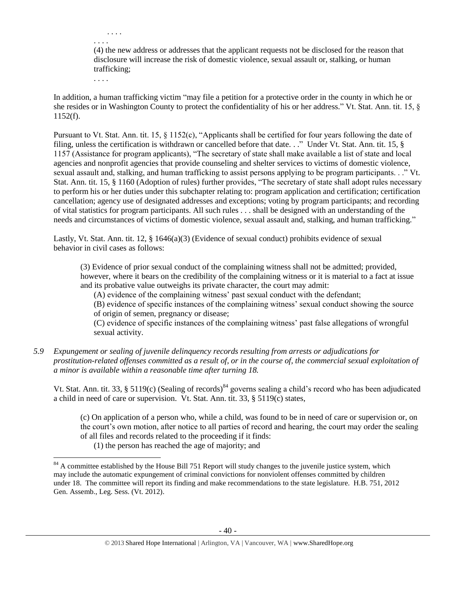(4) the new address or addresses that the applicant requests not be disclosed for the reason that disclosure will increase the risk of domestic violence, sexual assault or, stalking, or human trafficking;

. . . .

. . . .

. . . .

In addition, a human trafficking victim "may file a petition for a protective order in the county in which he or she resides or in Washington County to protect the confidentiality of his or her address." Vt. Stat. Ann. tit. 15, § 1152(f).

Pursuant to Vt. Stat. Ann. tit. 15, § 1152(c), "Applicants shall be certified for four years following the date of filing, unless the certification is withdrawn or cancelled before that date. . ." Under Vt. Stat. Ann. tit. 15, § 1157 (Assistance for program applicants), "The secretary of state shall make available a list of state and local agencies and nonprofit agencies that provide counseling and shelter services to victims of domestic violence, sexual assault and, stalking, and human trafficking to assist persons applying to be program participants. . ." Vt. Stat. Ann. tit. 15, § 1160 (Adoption of rules) further provides, "The secretary of state shall adopt rules necessary to perform his or her duties under this subchapter relating to: program application and certification; certification cancellation; agency use of designated addresses and exceptions; voting by program participants; and recording of vital statistics for program participants. All such rules . . . shall be designed with an understanding of the needs and circumstances of victims of domestic violence, sexual assault and, stalking, and human trafficking."

Lastly, Vt. Stat. Ann. tit. 12, § 1646(a)(3) (Evidence of sexual conduct) prohibits evidence of sexual behavior in civil cases as follows:

(3) Evidence of prior sexual conduct of the complaining witness shall not be admitted; provided, however, where it bears on the credibility of the complaining witness or it is material to a fact at issue and its probative value outweighs its private character, the court may admit:

(A) evidence of the complaining witness' past sexual conduct with the defendant;

(B) evidence of specific instances of the complaining witness' sexual conduct showing the source of origin of semen, pregnancy or disease;

(C) evidence of specific instances of the complaining witness' past false allegations of wrongful sexual activity.

### *5.9 Expungement or sealing of juvenile delinquency records resulting from arrests or adjudications for prostitution-related offenses committed as a result of, or in the course of, the commercial sexual exploitation of a minor is available within a reasonable time after turning 18.*

Vt. Stat. Ann. tit. 33, § 5119(c) (Sealing of records)<sup>84</sup> governs sealing a child's record who has been adjudicated a child in need of care or supervision. Vt. Stat. Ann. tit. 33, § 5119(c) states,

(c) On application of a person who, while a child, was found to be in need of care or supervision or, on the court's own motion, after notice to all parties of record and hearing, the court may order the sealing of all files and records related to the proceeding if it finds:

(1) the person has reached the age of majority; and

 $84$  A committee established by the House Bill 751 Report will study changes to the juvenile justice system, which may include the automatic expungement of criminal convictions for nonviolent offenses committed by children under 18. The committee will report its finding and make recommendations to the state legislature. H.B. 751, 2012 Gen. Assemb., Leg. Sess. (Vt. 2012).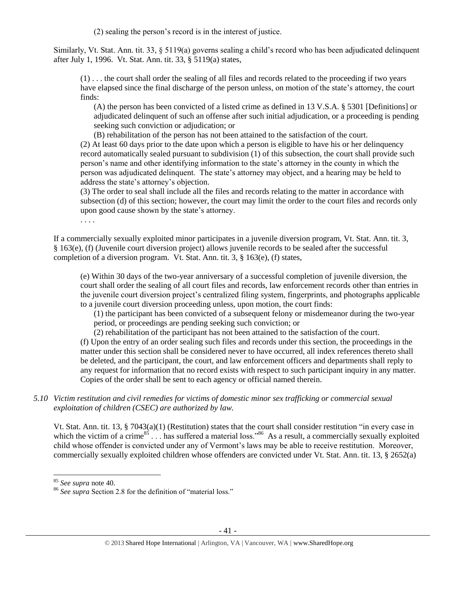(2) sealing the person's record is in the interest of justice.

Similarly, Vt. Stat. Ann. tit. 33, § 5119(a) governs sealing a child's record who has been adjudicated delinquent after July 1, 1996. Vt. Stat. Ann. tit. 33, § 5119(a) states,

(1) . . . the court shall order the sealing of all files and records related to the proceeding if two years have elapsed since the final discharge of the person unless, on motion of the state's attorney, the court finds:

(A) the person has been convicted of a listed crime as defined in 13 V.S.A. § 5301 [Definitions] or adjudicated delinquent of such an offense after such initial adjudication, or a proceeding is pending seeking such conviction or adjudication; or

(B) rehabilitation of the person has not been attained to the satisfaction of the court.

(2) At least 60 days prior to the date upon which a person is eligible to have his or her delinquency record automatically sealed pursuant to subdivision (1) of this subsection, the court shall provide such person's name and other identifying information to the state's attorney in the county in which the person was adjudicated delinquent. The state's attorney may object, and a hearing may be held to address the state's attorney's objection.

(3) The order to seal shall include all the files and records relating to the matter in accordance with subsection (d) of this section; however, the court may limit the order to the court files and records only upon good cause shown by the state's attorney.

. . . .

If a commercially sexually exploited minor participates in a juvenile diversion program, Vt. Stat. Ann. tit. 3, § 163(e), (f) (Juvenile court diversion project) allows juvenile records to be sealed after the successful completion of a diversion program. Vt. Stat. Ann. tit. 3, § 163(e), (f) states,

(e) Within 30 days of the two-year anniversary of a successful completion of juvenile diversion, the court shall order the sealing of all court files and records, law enforcement records other than entries in the juvenile court diversion project's centralized filing system, fingerprints, and photographs applicable to a juvenile court diversion proceeding unless, upon motion, the court finds:

(1) the participant has been convicted of a subsequent felony or misdemeanor during the two-year period, or proceedings are pending seeking such conviction; or

(2) rehabilitation of the participant has not been attained to the satisfaction of the court.

(f) Upon the entry of an order sealing such files and records under this section, the proceedings in the matter under this section shall be considered never to have occurred, all index references thereto shall be deleted, and the participant, the court, and law enforcement officers and departments shall reply to any request for information that no record exists with respect to such participant inquiry in any matter. Copies of the order shall be sent to each agency or official named therein.

# *5.10 Victim restitution and civil remedies for victims of domestic minor sex trafficking or commercial sexual exploitation of children (CSEC) are authorized by law.*

Vt. Stat. Ann. tit. 13, § 7043(a)(1) (Restitution) states that the court shall consider restitution "in every case in which the victim of a crime<sup>85</sup>... has suffered a material loss."<sup>86</sup> As a result, a commercially sexually exploited child whose offender is convicted under any of Vermont's laws may be able to receive restitution. Moreover, commercially sexually exploited children whose offenders are convicted under Vt. Stat. Ann. tit. 13, § 2652(a)

l

<sup>85</sup> *See supra* note [40.](#page-11-0) 

<sup>86</sup> *See supra* Section 2.8 for the definition of "material loss."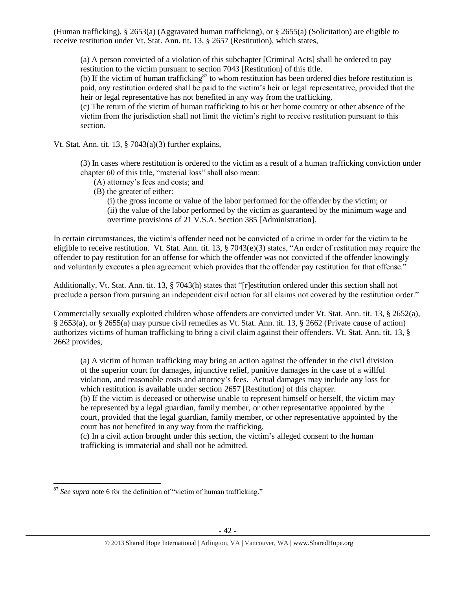(Human trafficking), § 2653(a) (Aggravated human trafficking), or § 2655(a) (Solicitation) are eligible to receive restitution under Vt. Stat. Ann. tit. 13, § 2657 (Restitution), which states,

(a) A person convicted of a violation of this subchapter [Criminal Acts] shall be ordered to pay restitution to the victim pursuant to section 7043 [Restitution] of this title.

(b) If the victim of human trafficking<sup>87</sup> to whom restitution has been ordered dies before restitution is paid, any restitution ordered shall be paid to the victim's heir or legal representative, provided that the heir or legal representative has not benefited in any way from the trafficking.

(c) The return of the victim of human trafficking to his or her home country or other absence of the victim from the jurisdiction shall not limit the victim's right to receive restitution pursuant to this section.

Vt. Stat. Ann. tit. 13,  $\S$  7043(a)(3) further explains,

(3) In cases where restitution is ordered to the victim as a result of a human trafficking conviction under chapter 60 of this title, "material loss" shall also mean:

- (A) attorney's fees and costs; and
- (B) the greater of either:

(i) the gross income or value of the labor performed for the offender by the victim; or (ii) the value of the labor performed by the victim as guaranteed by the minimum wage and overtime provisions of 21 V.S.A. Section 385 [Administration].

In certain circumstances, the victim's offender need not be convicted of a crime in order for the victim to be eligible to receive restitution. Vt. Stat. Ann. tit. 13, § 7043(e)(3) states, "An order of restitution may require the offender to pay restitution for an offense for which the offender was not convicted if the offender knowingly and voluntarily executes a plea agreement which provides that the offender pay restitution for that offense."

Additionally, Vt. Stat. Ann. tit. 13, § 7043(h) states that "[r]estitution ordered under this section shall not preclude a person from pursuing an independent civil action for all claims not covered by the restitution order."

Commercially sexually exploited children whose offenders are convicted under Vt. Stat. Ann. tit. 13, § 2652(a), § 2653(a), or § 2655(a) may pursue civil remedies as Vt. Stat. Ann. tit. 13, § 2662 (Private cause of action) authorizes victims of human trafficking to bring a civil claim against their offenders. Vt. Stat. Ann. tit. 13, § 2662 provides,

(a) A victim of human trafficking may bring an action against the offender in the civil division of the superior court for damages, injunctive relief, punitive damages in the case of a willful violation, and reasonable costs and attorney's fees. Actual damages may include any loss for which restitution is available under section 2657 [Restitution] of this chapter.

(b) If the victim is deceased or otherwise unable to represent himself or herself, the victim may be represented by a legal guardian, family member, or other representative appointed by the court, provided that the legal guardian, family member, or other representative appointed by the court has not benefited in any way from the trafficking.

(c) In a civil action brought under this section, the victim's alleged consent to the human trafficking is immaterial and shall not be admitted.

 $\overline{a}$ <sup>87</sup> *See supra* note [6](#page-1-0) for the definition of "victim of human trafficking."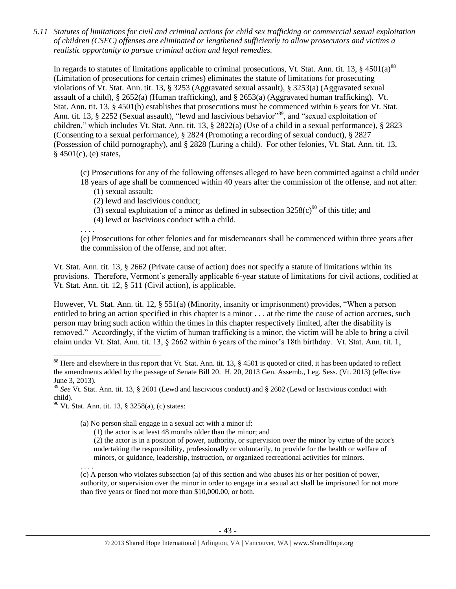*5.11 Statutes of limitations for civil and criminal actions for child sex trafficking or commercial sexual exploitation of children (CSEC) offenses are eliminated or lengthened sufficiently to allow prosecutors and victims a realistic opportunity to pursue criminal action and legal remedies.*

In regards to statutes of limitations applicable to criminal prosecutions, Vt. Stat. Ann. tit. 13, § 4501(a)<sup>88</sup> (Limitation of prosecutions for certain crimes) eliminates the statute of limitations for prosecuting violations of Vt. Stat. Ann. tit. 13, § 3253 (Aggravated sexual assault), § 3253(a) (Aggravated sexual assault of a child), § 2652(a) (Human trafficking), and § 2653(a) (Aggravated human trafficking). Vt. Stat. Ann. tit. 13, § 4501(b) establishes that prosecutions must be commenced within 6 years for Vt. Stat. Ann. tit. 13, § 2252 (Sexual assault), "lewd and lascivious behavior"<sup>89</sup>, and "sexual exploitation of children," which includes Vt. Stat. Ann. tit. 13, § 2822(a) (Use of a child in a sexual performance), § 2823 (Consenting to a sexual performance), § 2824 (Promoting a recording of sexual conduct), § 2827 (Possession of child pornography), and § 2828 (Luring a child). For other felonies, Vt. Stat. Ann. tit. 13,  $§$  4501(c), (e) states,

- (c) Prosecutions for any of the following offenses alleged to have been committed against a child under
- 18 years of age shall be commenced within 40 years after the commission of the offense, and not after: (1) sexual assault;
	- (2) lewd and lascivious conduct;
	- (3) sexual exploitation of a minor as defined in subsection  $3258(c)^{90}$  of this title; and
	- (4) lewd or lascivious conduct with a child.

. . . .

(e) Prosecutions for other felonies and for misdemeanors shall be commenced within three years after the commission of the offense, and not after.

Vt. Stat. Ann. tit. 13, § 2662 (Private cause of action) does not specify a statute of limitations within its provisions. Therefore, Vermont's generally applicable 6-year statute of limitations for civil actions, codified at Vt. Stat. Ann. tit. 12, § 511 (Civil action), is applicable.

However, Vt. Stat. Ann. tit. 12, § 551(a) (Minority, insanity or imprisonment) provides, "When a person entitled to bring an action specified in this chapter is a minor . . . at the time the cause of action accrues, such person may bring such action within the times in this chapter respectively limited, after the disability is removed." Accordingly, if the victim of human trafficking is a minor, the victim will be able to bring a civil claim under Vt. Stat. Ann. tit. 13, § 2662 within 6 years of the minor's 18th birthday. Vt. Stat. Ann. tit. 1,

- (1) the actor is at least 48 months older than the minor; and
- (2) the actor is in a position of power, authority, or supervision over the minor by virtue of the actor's undertaking the responsibility, professionally or voluntarily, to provide for the health or welfare of minors, or guidance, leadership, instruction, or organized recreational activities for minors.

. . . .

 $\overline{\phantom{a}}$ 

(c) A person who violates subsection (a) of this section and who abuses his or her position of power, authority, or supervision over the minor in order to engage in a sexual act shall be imprisoned for not more than five years or fined not more than \$10,000.00, or both.

<sup>&</sup>lt;sup>88</sup> Here and elsewhere in this report that Vt. Stat. Ann. tit. 13,  $\S$  4501 is quoted or cited, it has been updated to reflect the amendments added by the passage of Senate Bill 20. H. 20, 2013 Gen. Assemb., Leg. Sess. (Vt. 2013) (effective June 3, 2013).

<sup>89</sup> *See* Vt. Stat. Ann. tit. 13, § 2601 (Lewd and lascivious conduct) and § 2602 (Lewd or lascivious conduct with child).

 $90$  Vt. Stat. Ann. tit. 13, § 3258(a), (c) states:

<sup>(</sup>a) No person shall engage in a sexual act with a minor if: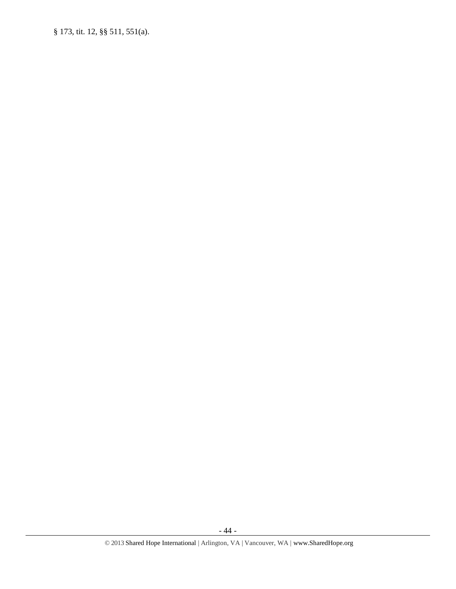§ 173, tit. 12, §§ 511, 551(a).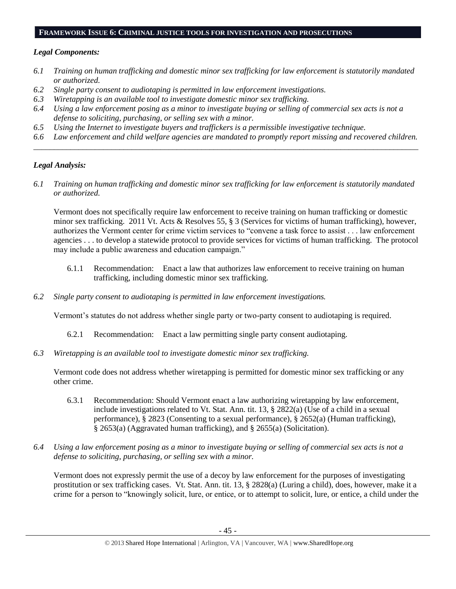### **FRAMEWORK ISSUE 6: CRIMINAL JUSTICE TOOLS FOR INVESTIGATION AND PROSECUTIONS**

### *Legal Components:*

- *6.1 Training on human trafficking and domestic minor sex trafficking for law enforcement is statutorily mandated or authorized.*
- *6.2 Single party consent to audiotaping is permitted in law enforcement investigations.*
- *6.3 Wiretapping is an available tool to investigate domestic minor sex trafficking.*
- *6.4 Using a law enforcement posing as a minor to investigate buying or selling of commercial sex acts is not a defense to soliciting, purchasing, or selling sex with a minor.*
- *6.5 Using the Internet to investigate buyers and traffickers is a permissible investigative technique.*
- *6.6 Law enforcement and child welfare agencies are mandated to promptly report missing and recovered children. \_\_\_\_\_\_\_\_\_\_\_\_\_\_\_\_\_\_\_\_\_\_\_\_\_\_\_\_\_\_\_\_\_\_\_\_\_\_\_\_\_\_\_\_\_\_\_\_\_\_\_\_\_\_\_\_\_\_\_\_\_\_\_\_\_\_\_\_\_\_\_\_\_\_\_\_\_\_\_\_\_\_\_\_\_\_\_\_\_\_\_\_\_\_*

# *Legal Analysis:*

*6.1 Training on human trafficking and domestic minor sex trafficking for law enforcement is statutorily mandated or authorized.*

Vermont does not specifically require law enforcement to receive training on human trafficking or domestic minor sex trafficking. 2011 Vt. Acts & Resolves 55, § 3 (Services for victims of human trafficking), however, authorizes the Vermont center for crime victim services to "convene a task force to assist . . . law enforcement agencies . . . to develop a statewide protocol to provide services for victims of human trafficking. The protocol may include a public awareness and education campaign."

- 6.1.1 Recommendation: Enact a law that authorizes law enforcement to receive training on human trafficking, including domestic minor sex trafficking.
- *6.2 Single party consent to audiotaping is permitted in law enforcement investigations.*

Vermont's statutes do not address whether single party or two-party consent to audiotaping is required.

- 6.2.1 Recommendation: Enact a law permitting single party consent audiotaping.
- *6.3 Wiretapping is an available tool to investigate domestic minor sex trafficking.*

Vermont code does not address whether wiretapping is permitted for domestic minor sex trafficking or any other crime.

- 6.3.1 Recommendation: Should Vermont enact a law authorizing wiretapping by law enforcement, include investigations related to Vt. Stat. Ann. tit. 13, § 2822(a) (Use of a child in a sexual performance), § 2823 (Consenting to a sexual performance), § 2652(a) (Human trafficking), § 2653(a) (Aggravated human trafficking), and § 2655(a) (Solicitation).
- *6.4 Using a law enforcement posing as a minor to investigate buying or selling of commercial sex acts is not a defense to soliciting, purchasing, or selling sex with a minor.*

Vermont does not expressly permit the use of a decoy by law enforcement for the purposes of investigating prostitution or sex trafficking cases. Vt. Stat. Ann. tit. 13, § 2828(a) (Luring a child), does, however, make it a crime for a person to "knowingly solicit, lure, or entice, or to attempt to solicit, lure, or entice, a child under the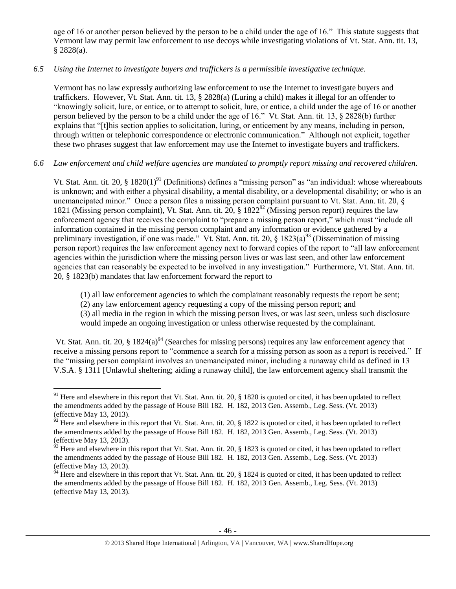age of 16 or another person believed by the person to be a child under the age of 16." This statute suggests that Vermont law may permit law enforcement to use decoys while investigating violations of Vt. Stat. Ann. tit. 13, § 2828(a).

# *6.5 Using the Internet to investigate buyers and traffickers is a permissible investigative technique.*

Vermont has no law expressly authorizing law enforcement to use the Internet to investigate buyers and traffickers. However, Vt. Stat. Ann. tit. 13, § 2828(a) (Luring a child) makes it illegal for an offender to "knowingly solicit, lure, or entice, or to attempt to solicit, lure, or entice, a child under the age of 16 or another person believed by the person to be a child under the age of 16." Vt. Stat. Ann. tit. 13, § 2828(b) further explains that "[t]his section applies to solicitation, luring, or enticement by any means, including in person, through written or telephonic correspondence or electronic communication." Although not explicit, together these two phrases suggest that law enforcement may use the Internet to investigate buyers and traffickers.

# *6.6 Law enforcement and child welfare agencies are mandated to promptly report missing and recovered children.*

Vt. Stat. Ann. tit. 20,  $\S 1820(1)^{91}$  (Definitions) defines a "missing person" as "an individual: whose whereabouts is unknown; and with either a physical disability, a mental disability, or a developmental disability; or who is an unemancipated minor." Once a person files a missing person complaint pursuant to Vt. Stat. Ann. tit. 20, § 1821 (Missing person complaint), Vt. Stat. Ann. tit.  $20.8$  1822<sup>92</sup> (Missing person report) requires the law enforcement agency that receives the complaint to "prepare a missing person report," which must "include all information contained in the missing person complaint and any information or evidence gathered by a preliminary investigation, if one was made." Vt. Stat. Ann. tit. 20,  $\frac{1823(a)^{93}}{2}$  (Dissemination of missing person report) requires the law enforcement agency next to forward copies of the report to "all law enforcement agencies within the jurisdiction where the missing person lives or was last seen, and other law enforcement agencies that can reasonably be expected to be involved in any investigation." Furthermore, Vt. Stat. Ann. tit. 20, § 1823(b) mandates that law enforcement forward the report to

(1) all law enforcement agencies to which the complainant reasonably requests the report be sent;

(2) any law enforcement agency requesting a copy of the missing person report; and

(3) all media in the region in which the missing person lives, or was last seen, unless such disclosure would impede an ongoing investigation or unless otherwise requested by the complainant.

Vt. Stat. Ann. tit. 20, § 1824(a)<sup>94</sup> (Searches for missing persons) requires any law enforcement agency that receive a missing persons report to "commence a search for a missing person as soon as a report is received." If the "missing person complaint involves an unemancipated minor, including a runaway child as defined in 13 V.S.A. § 1311 [Unlawful sheltering; aiding a runaway child], the law enforcement agency shall transmit the

<sup>&</sup>lt;sup>91</sup> Here and elsewhere in this report that Vt. Stat. Ann. tit. 20,  $\S$  1820 is quoted or cited, it has been updated to reflect the amendments added by the passage of House Bill 182. H. 182, 2013 Gen. Assemb., Leg. Sess. (Vt. 2013) (effective May 13, 2013).

 $92$  Here and elsewhere in this report that Vt. Stat. Ann. tit. 20, § 1822 is quoted or cited, it has been updated to reflect the amendments added by the passage of House Bill 182. H. 182, 2013 Gen. Assemb., Leg. Sess. (Vt. 2013) (effective May 13, 2013).

 $^{93}$  Here and elsewhere in this report that Vt. Stat. Ann. tit. 20, § 1823 is quoted or cited, it has been updated to reflect the amendments added by the passage of House Bill 182. H. 182, 2013 Gen. Assemb., Leg. Sess. (Vt. 2013) (effective May 13, 2013).

 $^{94}$  Here and elsewhere in this report that Vt. Stat. Ann. tit. 20, § 1824 is quoted or cited, it has been updated to reflect the amendments added by the passage of House Bill 182. H. 182, 2013 Gen. Assemb., Leg. Sess. (Vt. 2013) (effective May 13, 2013).